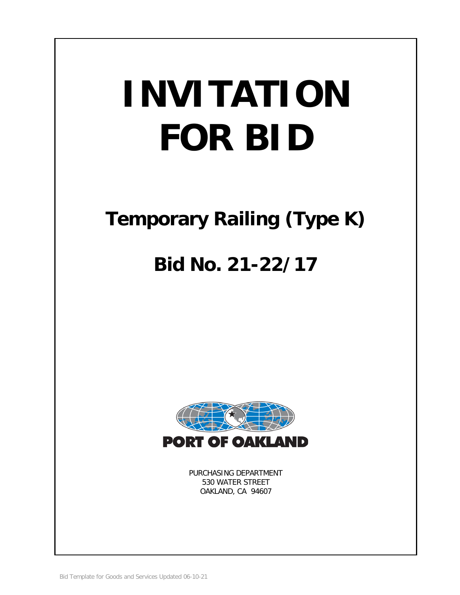# **INVITATION FOR BID**

# **Temporary Railing (Type K)**

# **Bid No. 21-22/17**



PURCHASING DEPARTMENT 530 WATER STREET OAKLAND, CA 94607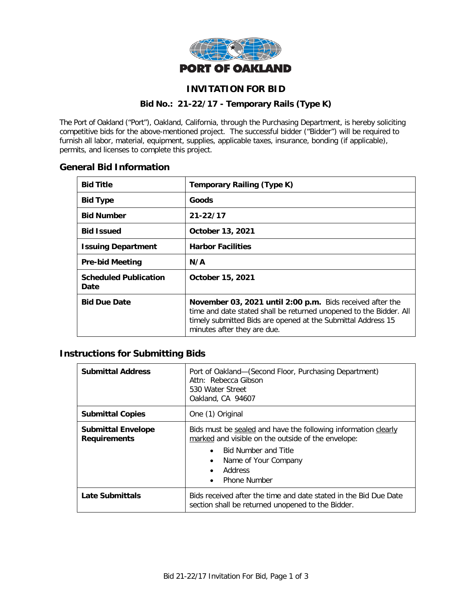

# **INVITATION FOR BID**

#### **Bid No.: 21-22/17 - Temporary Rails (Type K)**

The Port of Oakland ("Port"), Oakland, California, through the Purchasing Department, is hereby soliciting competitive bids for the above-mentioned project. The successful bidder ("Bidder") will be required to furnish all labor, material, equipment, supplies, applicable taxes, insurance, bonding (if applicable), permits, and licenses to complete this project.

# **General Bid Information**

| <b>Bid Title</b>                     | <b>Temporary Railing (Type K)</b>                                                                                                                                                                                              |
|--------------------------------------|--------------------------------------------------------------------------------------------------------------------------------------------------------------------------------------------------------------------------------|
| <b>Bid Type</b>                      | <b>Goods</b>                                                                                                                                                                                                                   |
| <b>Bid Number</b>                    | $21 - 22/17$                                                                                                                                                                                                                   |
| <b>Bid Issued</b>                    | October 13, 2021                                                                                                                                                                                                               |
| <b>Issuing Department</b>            | <b>Harbor Facilities</b>                                                                                                                                                                                                       |
| <b>Pre-bid Meeting</b>               | N/A                                                                                                                                                                                                                            |
| <b>Scheduled Publication</b><br>Date | October 15, 2021                                                                                                                                                                                                               |
| <b>Bid Due Date</b>                  | November 03, 2021 until 2:00 p.m. Bids received after the<br>time and date stated shall be returned unopened to the Bidder. All<br>timely submitted Bids are opened at the Submittal Address 15<br>minutes after they are due. |

# **Instructions for Submitting Bids**

| <b>Submittal Address</b>                         | Port of Oakland-(Second Floor, Purchasing Department)<br>Attn: Rebecca Gibson<br>530 Water Street<br>Oakland, CA 94607                                                                                                                                            |  |
|--------------------------------------------------|-------------------------------------------------------------------------------------------------------------------------------------------------------------------------------------------------------------------------------------------------------------------|--|
| <b>Submittal Copies</b>                          | One (1) Original                                                                                                                                                                                                                                                  |  |
| <b>Submittal Envelope</b><br><b>Requirements</b> | Bids must be sealed and have the following information clearly<br>marked and visible on the outside of the envelope:<br><b>Bid Number and Title</b><br>$\bullet$<br>Name of Your Company<br>$\bullet$<br>Address<br>$\bullet$<br><b>Phone Number</b><br>$\bullet$ |  |
| Late Submittals                                  | Bids received after the time and date stated in the Bid Due Date<br>section shall be returned unopened to the Bidder.                                                                                                                                             |  |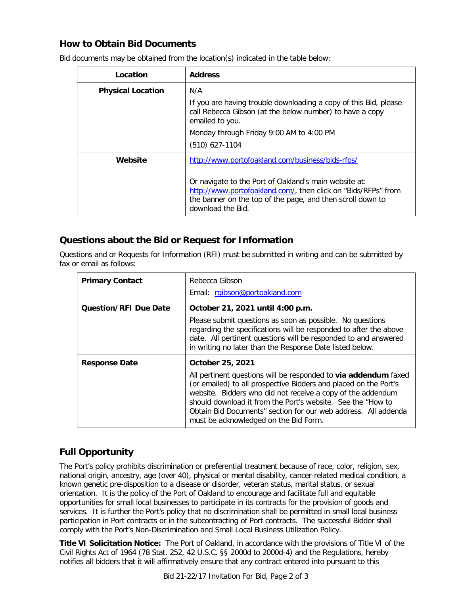# **How to Obtain Bid Documents**

| <b>Address</b><br>Location |                                                                                                                                                                                                           |
|----------------------------|-----------------------------------------------------------------------------------------------------------------------------------------------------------------------------------------------------------|
| <b>Physical Location</b>   | N/A                                                                                                                                                                                                       |
|                            | If you are having trouble downloading a copy of this Bid, please<br>call Rebecca Gibson (at the below number) to have a copy<br>emailed to you.                                                           |
|                            | Monday through Friday 9:00 AM to 4:00 PM                                                                                                                                                                  |
|                            | $(510)$ 627-1104                                                                                                                                                                                          |
| Website                    | http://www.portofoakland.com/business/bids-rfps/                                                                                                                                                          |
|                            | Or navigate to the Port of Oakland's main website at:<br>http://www.portofoakland.com/, then click on "Bids/RFPs" from<br>the banner on the top of the page, and then scroll down to<br>download the Bid. |

Bid documents may be obtained from the location(s) indicated in the table below:

# **Questions about the Bid or Request for Information**

Questions and or Requests for Information (RFI) must be submitted in writing and can be submitted by fax or email as follows:

| <b>Primary Contact</b>       | Rebecca Gibson<br>Email: rgibson@portoakland.com                                                                                                                                                                                                                                                                                                                                                 |  |
|------------------------------|--------------------------------------------------------------------------------------------------------------------------------------------------------------------------------------------------------------------------------------------------------------------------------------------------------------------------------------------------------------------------------------------------|--|
| <b>Question/RFI Due Date</b> | October 21, 2021 until 4:00 p.m.<br>Please submit questions as soon as possible. No questions<br>regarding the specifications will be responded to after the above<br>date. All pertinent questions will be responded to and answered<br>in writing no later than the Response Date listed below.                                                                                                |  |
| <b>Response Date</b>         | October 25, 2021<br>All pertinent questions will be responded to via addendum faxed<br>(or emailed) to all prospective Bidders and placed on the Port's<br>website. Bidders who did not receive a copy of the addendum<br>should download it from the Port's website. See the "How to<br>Obtain Bid Documents" section for our web address. All addenda<br>must be acknowledged on the Bid Form. |  |

# **Full Opportunity**

The Port's policy prohibits discrimination or preferential treatment because of race, color, religion, sex, national origin, ancestry, age (over 40), physical or mental disability, cancer-related medical condition, a known genetic pre-disposition to a disease or disorder, veteran status, marital status, or sexual orientation. It is the policy of the Port of Oakland to encourage and facilitate full and equitable opportunities for small local businesses to participate in its contracts for the provision of goods and services. It is further the Port's policy that no discrimination shall be permitted in small local business participation in Port contracts or in the subcontracting of Port contracts. The successful Bidder shall comply with the Port's Non-Discrimination and Small Local Business Utilization Policy.

**Title VI Solicitation Notice:** The Port of Oakland, in accordance with the provisions of Title VI of the Civil Rights Act of 1964 (78 Stat. 252, 42 U.S.C. §§ 2000d to 2000d-4) and the Regulations, hereby notifies all bidders that it will affirmatively ensure that any contract entered into pursuant to this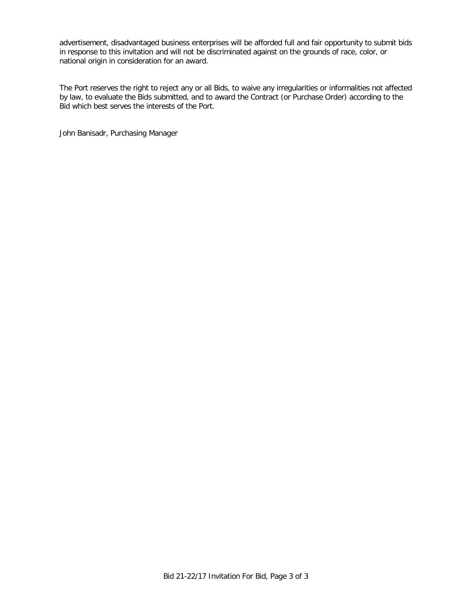advertisement, disadvantaged business enterprises will be afforded full and fair opportunity to submit bids in response to this invitation and will not be discriminated against on the grounds of race, color, or national origin in consideration for an award.

The Port reserves the right to reject any or all Bids, to waive any irregularities or informalities not affected by law, to evaluate the Bids submitted, and to award the Contract (or Purchase Order) according to the Bid which best serves the interests of the Port.

John Banisadr, Purchasing Manager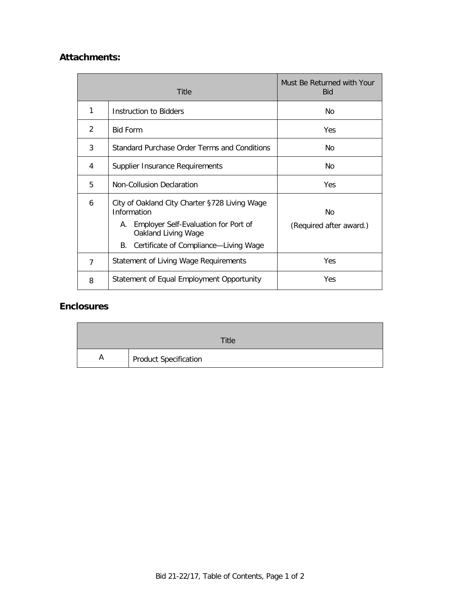# **Attachments:**

| Title |                                                                                                                                                                                  | Must Be Returned with Your<br><b>Bid</b> |
|-------|----------------------------------------------------------------------------------------------------------------------------------------------------------------------------------|------------------------------------------|
| 1     | Instruction to Bidders                                                                                                                                                           | No                                       |
| 2     | <b>Bid Form</b>                                                                                                                                                                  | <b>Yes</b>                               |
| 3     | Standard Purchase Order Terms and Conditions                                                                                                                                     | No                                       |
| 4     | Supplier Insurance Requirements                                                                                                                                                  | No                                       |
| 5     | Non-Collusion Declaration                                                                                                                                                        | Yes                                      |
| 6     | City of Oakland City Charter §728 Living Wage<br>Information<br>Employer Self-Evaluation for Port of<br>А.<br>Oakland Living Wage<br>Certificate of Compliance-Living Wage<br>В. | No<br>(Required after award.)            |
| 7     | <b>Statement of Living Wage Requirements</b>                                                                                                                                     | Yes                                      |
| 8     | Statement of Equal Employment Opportunity                                                                                                                                        | Yes                                      |

# **Enclosures**

|   | Title                 |
|---|-----------------------|
| A | Product Specification |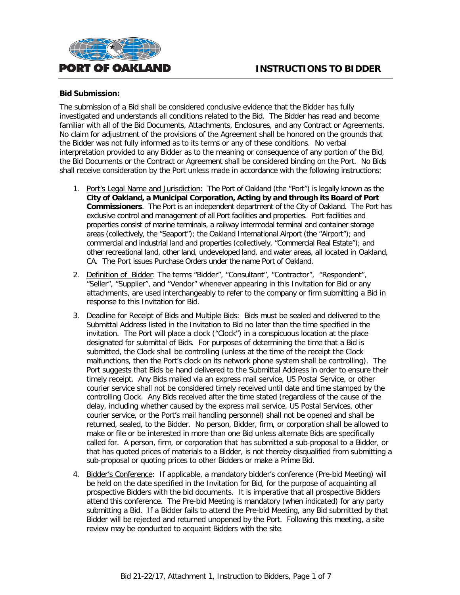

#### **Bid Submission:**

The submission of a Bid shall be considered conclusive evidence that the Bidder has fully investigated and understands all conditions related to the Bid. The Bidder has read and become familiar with all of the Bid Documents, Attachments, Enclosures, and any Contract or Agreements. No claim for adjustment of the provisions of the Agreement shall be honored on the grounds that the Bidder was not fully informed as to its terms or any of these conditions. No verbal interpretation provided to any Bidder as to the meaning or consequence of any portion of the Bid, the Bid Documents or the Contract or Agreement shall be considered binding on the Port. No Bids shall receive consideration by the Port unless made in accordance with the following instructions:

- 1. Port's Legal Name and Jurisdiction: The Port of Oakland (the "Port") is legally known as the **City of Oakland, a Municipal Corporation, Acting by and through its Board of Port Commissioners**. The Port is an independent department of the City of Oakland. The Port has exclusive control and management of all Port facilities and properties. Port facilities and properties consist of marine terminals, a railway intermodal terminal and container storage areas (collectively, the "Seaport"); the Oakland International Airport (the "Airport"); and commercial and industrial land and properties (collectively, "Commercial Real Estate"); and other recreational land, other land, undeveloped land, and water areas, all located in Oakland, CA. The Port issues Purchase Orders under the name Port of Oakland.
- 2. Definition of Bidder: The terms "Bidder", "Consultant", "Contractor", "Respondent", "Seller", "Supplier", and "Vendor" whenever appearing in this Invitation for Bid or any attachments, are used interchangeably to refer to the company or firm submitting a Bid in response to this Invitation for Bid.
- 3. Deadline for Receipt of Bids and Multiple Bids: Bids must be sealed and delivered to the Submittal Address listed in the Invitation to Bid no later than the time specified in the invitation. The Port will place a clock ("Clock") in a conspicuous location at the place designated for submittal of Bids. For purposes of determining the time that a Bid is submitted, the Clock shall be controlling (unless at the time of the receipt the Clock malfunctions, then the Port's clock on its network phone system shall be controlling). The Port suggests that Bids be hand delivered to the Submittal Address in order to ensure their timely receipt. Any Bids mailed via an express mail service, US Postal Service, or other courier service shall not be considered timely received until date and time stamped by the controlling Clock. Any Bids received after the time stated (regardless of the cause of the delay, including whether caused by the express mail service, US Postal Services, other courier service, or the Port's mail handling personnel) shall not be opened and shall be returned, sealed, to the Bidder. No person, Bidder, firm, or corporation shall be allowed to make or file or be interested in more than one Bid unless alternate Bids are specifically called for. A person, firm, or corporation that has submitted a sub-proposal to a Bidder, or that has quoted prices of materials to a Bidder, is not thereby disqualified from submitting a sub-proposal or quoting prices to other Bidders or make a Prime Bid.
- 4. Bidder's Conference: If applicable, a mandatory bidder's conference (Pre-bid Meeting) will be held on the date specified in the Invitation for Bid, for the purpose of acquainting all prospective Bidders with the bid documents. It is imperative that all prospective Bidders attend this conference. The Pre-bid Meeting is mandatory (when indicated) for any party submitting a Bid. If a Bidder fails to attend the Pre-bid Meeting, any Bid submitted by that Bidder will be rejected and returned unopened by the Port. Following this meeting, a site review may be conducted to acquaint Bidders with the site.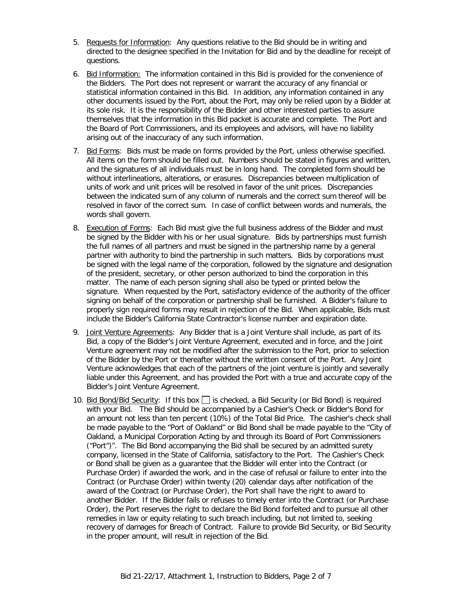- 5. Requests for Information: Any questions relative to the Bid should be in writing and directed to the designee specified in the Invitation for Bid and by the deadline for receipt of questions.
- 6. Bid Information: The information contained in this Bid is provided for the convenience of the Bidders. The Port does not represent or warrant the accuracy of any financial or statistical information contained in this Bid. In addition, any information contained in any other documents issued by the Port, about the Port, may only be relied upon by a Bidder at its sole risk. It is the responsibility of the Bidder and other interested parties to assure themselves that the information in this Bid packet is accurate and complete. The Port and the Board of Port Commissioners, and its employees and advisors, will have no liability arising out of the inaccuracy of any such information.
- 7. Bid Forms: Bids must be made on forms provided by the Port, unless otherwise specified. All items on the form should be filled out. Numbers should be stated in figures and written, and the signatures of all individuals must be in long hand. The completed form should be without interlineations, alterations, or erasures. Discrepancies between multiplication of units of work and unit prices will be resolved in favor of the unit prices. Discrepancies between the indicated sum of any column of numerals and the correct sum thereof will be resolved in favor of the correct sum. In case of conflict between words and numerals, the words shall govern.
- 8. Execution of Forms: Each Bid must give the full business address of the Bidder and must be signed by the Bidder with his or her usual signature. Bids by partnerships must furnish the full names of all partners and must be signed in the partnership name by a general partner with authority to bind the partnership in such matters. Bids by corporations must be signed with the legal name of the corporation, followed by the signature and designation of the president, secretary, or other person authorized to bind the corporation in this matter. The name of each person signing shall also be typed or printed below the signature. When requested by the Port, satisfactory evidence of the authority of the officer signing on behalf of the corporation or partnership shall be furnished. A Bidder's failure to properly sign required forms may result in rejection of the Bid. When applicable, Bids must include the Bidder's California State Contractor's license number and expiration date.
- 9. Joint Venture Agreements: Any Bidder that is a Joint Venture shall include, as part of its Bid, a copy of the Bidder's Joint Venture Agreement, executed and in force, and the Joint Venture agreement may not be modified after the submission to the Port, prior to selection of the Bidder by the Port or thereafter without the written consent of the Port. Any Joint Venture acknowledges that each of the partners of the joint venture is jointly and severally liable under this Agreement, and has provided the Port with a true and accurate copy of the Bidder's Joint Venture Agreement.
- 10. Bid Bond/Bid Security: If this box  $\Box$  is checked, a Bid Security (or Bid Bond) is required with your Bid. The Bid should be accompanied by a Cashier's Check or Bidder's Bond for an amount not less than ten percent (10%) of the Total Bid Price. The cashier's check shall be made payable to the "Port of Oakland" or Bid Bond shall be made payable to the "City of Oakland, a Municipal Corporation Acting by and through its Board of Port Commissioners ("Port")". The Bid Bond accompanying the Bid shall be secured by an admitted surety company, licensed in the State of California, satisfactory to the Port. The Cashier's Check or Bond shall be given as a guarantee that the Bidder will enter into the Contract (or Purchase Order) if awarded the work, and in the case of refusal or failure to enter into the Contract (or Purchase Order) within twenty (20) calendar days after notification of the award of the Contract (or Purchase Order), the Port shall have the right to award to another Bidder. If the Bidder fails or refuses to timely enter into the Contract (or Purchase Order), the Port reserves the right to declare the Bid Bond forfeited and to pursue all other remedies in law or equity relating to such breach including, but not limited to, seeking recovery of damages for Breach of Contract. Failure to provide Bid Security, or Bid Security in the proper amount, will result in rejection of the Bid.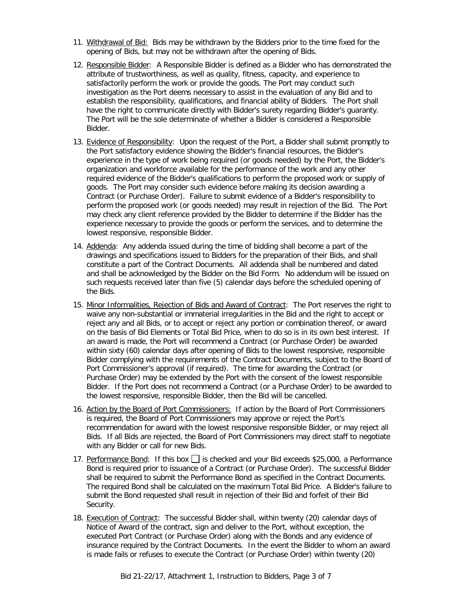- 11. Withdrawal of Bid: Bids may be withdrawn by the Bidders prior to the time fixed for the opening of Bids, but may not be withdrawn after the opening of Bids.
- 12. Responsible Bidder: A Responsible Bidder is defined as a Bidder who has demonstrated the attribute of trustworthiness, as well as quality, fitness, capacity, and experience to satisfactorily perform the work or provide the goods. The Port may conduct such investigation as the Port deems necessary to assist in the evaluation of any Bid and to establish the responsibility, qualifications, and financial ability of Bidders. The Port shall have the right to communicate directly with Bidder's surety regarding Bidder's guaranty. The Port will be the sole determinate of whether a Bidder is considered a Responsible Bidder.
- 13. Evidence of Responsibility: Upon the request of the Port, a Bidder shall submit promptly to the Port satisfactory evidence showing the Bidder's financial resources, the Bidder's experience in the type of work being required (or goods needed) by the Port, the Bidder's organization and workforce available for the performance of the work and any other required evidence of the Bidder's qualifications to perform the proposed work or supply of goods. The Port may consider such evidence before making its decision awarding a Contract (or Purchase Order). Failure to submit evidence of a Bidder's responsibility to perform the proposed work (or goods needed) may result in rejection of the Bid. The Port may check any client reference provided by the Bidder to determine if the Bidder has the experience necessary to provide the goods or perform the services, and to determine the lowest responsive, responsible Bidder.
- 14. Addenda: Any addenda issued during the time of bidding shall become a part of the drawings and specifications issued to Bidders for the preparation of their Bids, and shall constitute a part of the Contract Documents. All addenda shall be numbered and dated and shall be acknowledged by the Bidder on the Bid Form. No addendum will be issued on such requests received later than five (5) calendar days before the scheduled opening of the Bids.
- 15. Minor Informalities, Rejection of Bids and Award of Contract: The Port reserves the right to waive any non-substantial or immaterial irregularities in the Bid and the right to accept or reject any and all Bids, or to accept or reject any portion or combination thereof, or award on the basis of Bid Elements or Total Bid Price, when to do so is in its own best interest. If an award is made, the Port will recommend a Contract (or Purchase Order) be awarded within sixty (60) calendar days after opening of Bids to the lowest responsive, responsible Bidder complying with the requirements of the Contract Documents, subject to the Board of Port Commissioner's approval (if required). The time for awarding the Contract (or Purchase Order) may be extended by the Port with the consent of the lowest responsible Bidder. If the Port does not recommend a Contract (or a Purchase Order) to be awarded to the lowest responsive, responsible Bidder, then the Bid will be cancelled.
- 16. Action by the Board of Port Commissioners: If action by the Board of Port Commissioners is required, the Board of Port Commissioners may approve or reject the Port's recommendation for award with the lowest responsive responsible Bidder, or may reject all Bids. If all Bids are rejected, the Board of Port Commissioners may direct staff to negotiate with any Bidder or call for new Bids.
- 17. Performance Bond: If this box  $\Box$  is checked and your Bid exceeds \$25,000, a Performance Bond is required prior to issuance of a Contract (or Purchase Order). The successful Bidder shall be required to submit the Performance Bond as specified in the Contract Documents. The required Bond shall be calculated on the maximum Total Bid Price. A Bidder's failure to submit the Bond requested shall result in rejection of their Bid and forfeit of their Bid Security.
- 18. Execution of Contract: The successful Bidder shall, within twenty (20) calendar days of Notice of Award of the contract, sign and deliver to the Port, without exception, the executed Port Contract (or Purchase Order) along with the Bonds and any evidence of insurance required by the Contract Documents. In the event the Bidder to whom an award is made fails or refuses to execute the Contract (or Purchase Order) within twenty (20)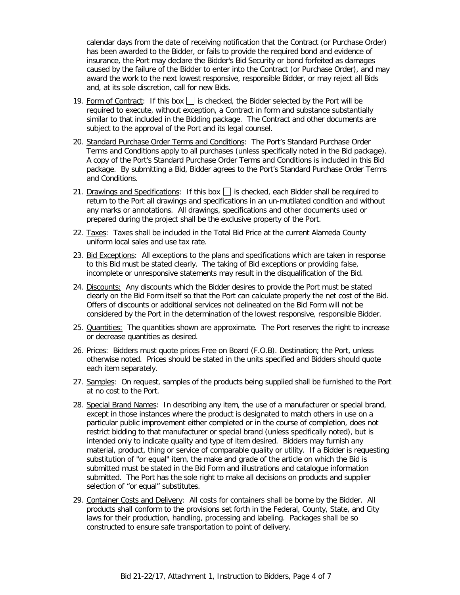calendar days from the date of receiving notification that the Contract (or Purchase Order) has been awarded to the Bidder, or fails to provide the required bond and evidence of insurance, the Port may declare the Bidder's Bid Security or bond forfeited as damages caused by the failure of the Bidder to enter into the Contract (or Purchase Order), and may award the work to the next lowest responsive, responsible Bidder, or may reject all Bids and, at its sole discretion, call for new Bids.

- 19. Form of Contract: If this box  $\Box$  is checked, the Bidder selected by the Port will be required to execute, without exception, a Contract in form and substance substantially similar to that included in the Bidding package. The Contract and other documents are subject to the approval of the Port and its legal counsel.
- 20. Standard Purchase Order Terms and Conditions: The Port's Standard Purchase Order Terms and Conditions apply to all purchases (unless specifically noted in the Bid package). A copy of the Port's Standard Purchase Order Terms and Conditions is included in this Bid package. By submitting a Bid, Bidder agrees to the Port's Standard Purchase Order Terms and Conditions.
- 21. Drawings and Specifications: If this box  $\Box$  is checked, each Bidder shall be required to return to the Port all drawings and specifications in an un-mutilated condition and without any marks or annotations. All drawings, specifications and other documents used or prepared during the project shall be the exclusive property of the Port.
- 22. Taxes: Taxes shall be included in the Total Bid Price at the current Alameda County uniform local sales and use tax rate.
- 23. Bid Exceptions: All exceptions to the plans and specifications which are taken in response to this Bid must be stated clearly. The taking of Bid exceptions or providing false, incomplete or unresponsive statements may result in the disqualification of the Bid.
- 24. Discounts: Any discounts which the Bidder desires to provide the Port must be stated clearly on the Bid Form itself so that the Port can calculate properly the net cost of the Bid. Offers of discounts or additional services not delineated on the Bid Form will not be considered by the Port in the determination of the lowest responsive, responsible Bidder.
- 25. Quantities: The quantities shown are approximate. The Port reserves the right to increase or decrease quantities as desired.
- 26. Prices: Bidders must quote prices Free on Board (F.O.B). Destination; the Port, unless otherwise noted. Prices should be stated in the units specified and Bidders should quote each item separately.
- 27. Samples: On request, samples of the products being supplied shall be furnished to the Port at no cost to the Port.
- 28. Special Brand Names: In describing any item, the use of a manufacturer or special brand, except in those instances where the product is designated to match others in use on a particular public improvement either completed or in the course of completion, does not restrict bidding to that manufacturer or special brand (unless specifically noted), but is intended only to indicate quality and type of item desired. Bidders may furnish any material, product, thing or service of comparable quality or utility. If a Bidder is requesting substitution of "or equal" item, the make and grade of the article on which the Bid is submitted must be stated in the Bid Form and illustrations and catalogue information submitted. The Port has the sole right to make all decisions on products and supplier selection of "or equal" substitutes.
- 29. Container Costs and Delivery: All costs for containers shall be borne by the Bidder. All products shall conform to the provisions set forth in the Federal, County, State, and City laws for their production, handling, processing and labeling. Packages shall be so constructed to ensure safe transportation to point of delivery.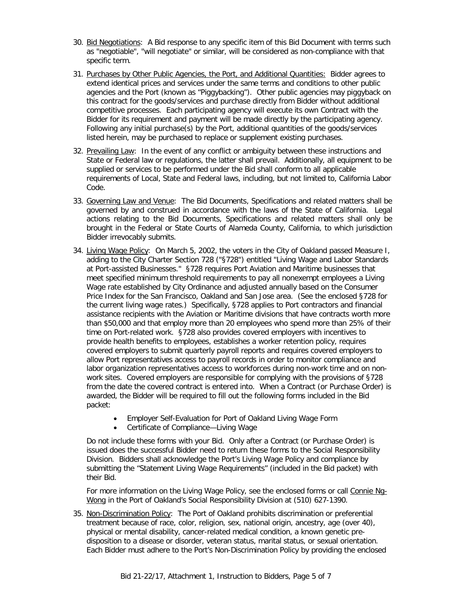- 30. Bid Negotiations: A Bid response to any specific item of this Bid Document with terms such as "negotiable", "will negotiate" or similar, will be considered as non-compliance with that specific term.
- 31. Purchases by Other Public Agencies, the Port, and Additional Quantities: Bidder agrees to extend identical prices and services under the same terms and conditions to other public agencies and the Port (known as "Piggybacking"). Other public agencies may piggyback on this contract for the goods/services and purchase directly from Bidder without additional competitive processes. Each participating agency will execute its own Contract with the Bidder for its requirement and payment will be made directly by the participating agency. Following any initial purchase(s) by the Port, additional quantities of the goods/services listed herein, may be purchased to replace or supplement existing purchases.
- 32. Prevailing Law: In the event of any conflict or ambiguity between these instructions and State or Federal law or regulations, the latter shall prevail. Additionally, all equipment to be supplied or services to be performed under the Bid shall conform to all applicable requirements of Local, State and Federal laws, including, but not limited to, California Labor Code.
- 33. Governing Law and Venue: The Bid Documents, Specifications and related matters shall be governed by and construed in accordance with the laws of the State of California. Legal actions relating to the Bid Documents, Specifications and related matters shall only be brought in the Federal or State Courts of Alameda County, California, to which jurisdiction Bidder irrevocably submits.
- 34. Living Wage Policy: On March 5, 2002, the voters in the City of Oakland passed Measure I, adding to the City Charter Section 728 ("§728") entitled "Living Wage and Labor Standards at Port-assisted Businesses." §728 requires Port Aviation and Maritime businesses that meet specified minimum threshold requirements to pay all nonexempt employees a Living Wage rate established by City Ordinance and adjusted annually based on the Consumer Price Index for the San Francisco, Oakland and San Jose area. (See the enclosed §728 for the current living wage rates.) Specifically, §728 applies to Port contractors and financial assistance recipients with the Aviation or Maritime divisions that have contracts worth more than \$50,000 and that employ more than 20 employees who spend more than 25% of their time on Port-related work. §728 also provides covered employers with incentives to provide health benefits to employees, establishes a worker retention policy, requires covered employers to submit quarterly payroll reports and requires covered employers to allow Port representatives access to payroll records in order to monitor compliance and labor organization representatives access to workforces during non-work time and on nonwork sites. Covered employers are responsible for complying with the provisions of §728 from the date the covered contract is entered into. When a Contract (or Purchase Order) is awarded, the Bidder will be required to fill out the following forms included in the Bid packet:
	- Employer Self-Evaluation for Port of Oakland Living Wage Form
	- Certificate of Compliance—Living Wage

Do not include these forms with your Bid. Only after a Contract (or Purchase Order) is issued does the successful Bidder need to return these forms to the Social Responsibility Division. Bidders shall acknowledge the Port's Living Wage Policy and compliance by submitting the "Statement Living Wage Requirements" (included in the Bid packet) with their Bid.

For more information on the Living Wage Policy, see the enclosed forms or call Connie Ng-Wong in the Port of Oakland's Social Responsibility Division at (510) 627-1390.

35. Non-Discrimination Policy: The Port of Oakland prohibits discrimination or preferential treatment because of race, color, religion, sex, national origin, ancestry, age (over 40), physical or mental disability, cancer-related medical condition, a known genetic predisposition to a disease or disorder, veteran status, marital status, or sexual orientation. Each Bidder must adhere to the Port's Non-Discrimination Policy by providing the enclosed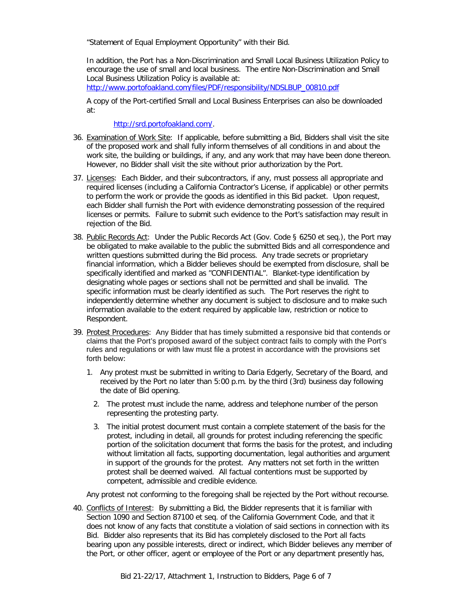"Statement of Equal Employment Opportunity" with their Bid.

In addition, the Port has a Non-Discrimination and Small Local Business Utilization Policy to encourage the use of small and local business. The entire Non-Discrimination and Small Local Business Utilization Policy is available at:

[http://www.portofoakland.com/files/PDF/responsibility/NDSLBUP\\_00810.pdf](http://www.portofoakland.com/files/PDF/responsibility/NDSLBUP_00810.pdf)

A copy of the Port-certified Small and Local Business Enterprises can also be downloaded at:

[http://srd.portofoakland.com/.](http://srd.portofoakland.com/)

- 36. Examination of Work Site: If applicable, before submitting a Bid, Bidders shall visit the site of the proposed work and shall fully inform themselves of all conditions in and about the work site, the building or buildings, if any, and any work that may have been done thereon. However, no Bidder shall visit the site without prior authorization by the Port.
- 37. Licenses: Each Bidder, and their subcontractors, if any, must possess all appropriate and required licenses (including a California Contractor's License, if applicable) or other permits to perform the work or provide the goods as identified in this Bid packet. Upon request, each Bidder shall furnish the Port with evidence demonstrating possession of the required licenses or permits. Failure to submit such evidence to the Port's satisfaction may result in rejection of the Bid.
- 38. Public Records Act: Under the Public Records Act (Gov. Code § 6250 et seq.), the Port may be obligated to make available to the public the submitted Bids and all correspondence and written questions submitted during the Bid process. Any trade secrets or proprietary financial information, which a Bidder believes should be exempted from disclosure, shall be specifically identified and marked as "CONFIDENTIAL". Blanket-type identification by designating whole pages or sections shall not be permitted and shall be invalid. The specific information must be clearly identified as such. The Port reserves the right to independently determine whether any document is subject to disclosure and to make such information available to the extent required by applicable law, restriction or notice to Respondent.
- 39. Protest Procedures:Any Bidder that has timely submitted a responsive bid that contends or claims that the Port's proposed award of the subject contract fails to comply with the Port's rules and regulations or with law must file a protest in accordance with the provisions set forth below:
	- 1. Any protest must be submitted in writing to Daria Edgerly, Secretary of the Board, and received by the Port no later than 5:00 p.m. by the third (3rd) business day following the date of Bid opening.
		- 2. The protest must include the name, address and telephone number of the person representing the protesting party.
		- 3. The initial protest document must contain a complete statement of the basis for the protest, including in detail, all grounds for protest including referencing the specific portion of the solicitation document that forms the basis for the protest, and including without limitation all facts, supporting documentation, legal authorities and argument in support of the grounds for the protest. Any matters not set forth in the written protest shall be deemed waived. All factual contentions must be supported by competent, admissible and credible evidence.

Any protest not conforming to the foregoing shall be rejected by the Port without recourse.

40. Conflicts of Interest: By submitting a Bid, the Bidder represents that it is familiar with Section 1090 and Section 87100 et seq. of the California Government Code, and that it does not know of any facts that constitute a violation of said sections in connection with its Bid. Bidder also represents that its Bid has completely disclosed to the Port all facts bearing upon any possible interests, direct or indirect, which Bidder believes any member of the Port, or other officer, agent or employee of the Port or any department presently has,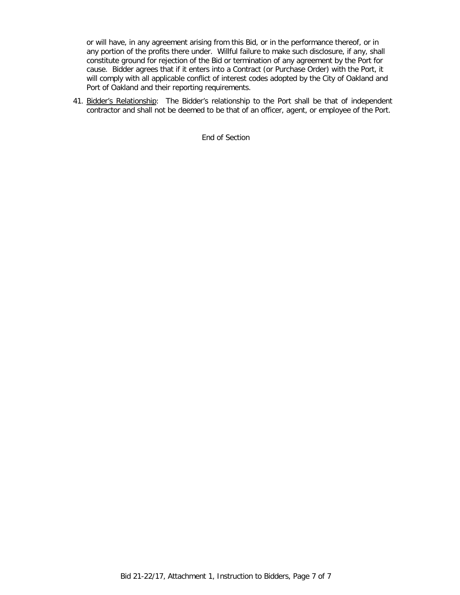or will have, in any agreement arising from this Bid, or in the performance thereof, or in any portion of the profits there under. Willful failure to make such disclosure, if any, shall constitute ground for rejection of the Bid or termination of any agreement by the Port for cause. Bidder agrees that if it enters into a Contract (or Purchase Order) with the Port, it will comply with all applicable conflict of interest codes adopted by the City of Oakland and Port of Oakland and their reporting requirements.

41. Bidder's Relationship: The Bidder's relationship to the Port shall be that of independent contractor and shall not be deemed to be that of an officer, agent, or employee of the Port.

End of Section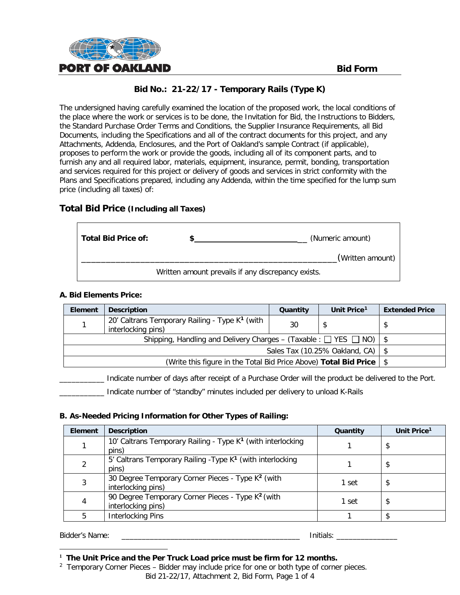

The undersigned having carefully examined the location of the proposed work, the local conditions of the place where the work or services is to be done, the Invitation for Bid, the Instructions to Bidders, the Standard Purchase Order Terms and Conditions, the Supplier Insurance Requirements, all Bid Documents, including the Specifications and all of the contract documents for this project, and any Attachments, Addenda, Enclosures, and the Port of Oakland's sample Contract (if applicable), proposes to perform the work or provide the goods, including all of its component parts, and to furnish any and all required labor, materials, equipment, insurance, permit, bonding, transportation and services required for this project or delivery of goods and services in strict conformity with the Plans and Specifications prepared, including any Addenda, within the time specified for the lump sum price (including all taxes) of:

# **Total Bid Price (Including all Taxes)**

| Total Bid Price of: | (Numeric amount)                                                       |
|---------------------|------------------------------------------------------------------------|
|                     | (Written amount)<br>Written amount prevails if any discrepancy exists. |

#### **A. Bid Elements Price:**

| Element                                                                        | <b>Description</b>                                                               | Quantity | Unit Price <sup>1</sup> | <b>Extended Price</b> |
|--------------------------------------------------------------------------------|----------------------------------------------------------------------------------|----------|-------------------------|-----------------------|
|                                                                                | 20' Caltrans Temporary Railing - Type K <sup>1</sup> (with<br>interlocking pins) | 30       |                         |                       |
| Shipping, Handling and Delivery Charges – (Taxable: $\Box$ YES $\Box$ NO)   \$ |                                                                                  |          |                         |                       |
| Sales Tax (10.25% Oakland, CA) $\mid$ \$                                       |                                                                                  |          |                         |                       |
| (Write this figure in the Total Bid Price Above) Total Bid Price   \$          |                                                                                  |          |                         |                       |

\_\_\_\_\_\_\_\_\_\_\_ Indicate number of days after receipt of a Purchase Order will the product be delivered to the Port.

\_\_\_\_\_\_\_\_\_\_\_ Indicate number of "standby" minutes included per delivery to unload K-Rails

### **B. As-Needed Pricing Information for Other Types of Railing:**

| <b>Element</b> | <b>Description</b>                                                                  | Quantity | Unit Price <sup>1</sup> |
|----------------|-------------------------------------------------------------------------------------|----------|-------------------------|
|                | 10' Caltrans Temporary Railing - Type K <sup>1</sup> (with interlocking<br>pins)    |          | \$                      |
| 2              | 5' Caltrans Temporary Railing - Type K <sup>1</sup> (with interlocking<br>pins)     |          | \$                      |
| 3              | 30 Degree Temporary Corner Pieces - Type K <sup>2</sup> (with<br>interlocking pins) | 1 set    | \$                      |
| $\overline{4}$ | 90 Degree Temporary Corner Pieces - Type K <sup>2</sup> (with<br>interlocking pins) | 1 set    | \$                      |
| 5              | <b>Interlocking Pins</b>                                                            |          |                         |

Bidder's Name: \_\_\_\_\_\_\_\_\_\_\_\_\_\_\_\_\_\_\_\_\_\_\_\_\_\_\_\_\_\_\_\_\_\_\_\_\_\_\_\_\_\_\_\_ Initials: \_\_\_\_\_\_\_\_\_\_\_\_\_\_\_

<span id="page-12-0"></span>**<sup>1</sup> The Unit Price and the Per Truck Load price must be firm for 12 months.**

Bid 21-22/17, Attachment 2, Bid Form, Page 1 of 4  $2$  Temporary Corner Pieces – Bidder may include price for one or both type of corner pieces.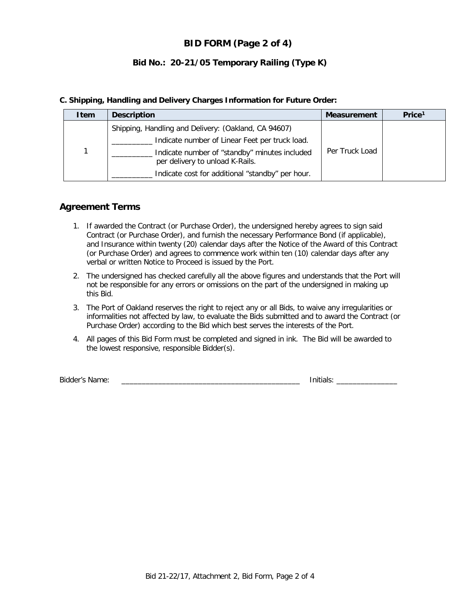# **BID FORM (Page 2 of 4)**

# **Bid No.: 20-21/05 Temporary Railing (Type K)**

#### **C. Shipping, Handling and Delivery Charges Information for Future Order:**

| Item | <b>Description</b>                                                               | <b>Measurement</b> | Price <sup>1</sup> |
|------|----------------------------------------------------------------------------------|--------------------|--------------------|
|      | Shipping, Handling and Delivery: (Oakland, CA 94607)                             |                    |                    |
|      | Indicate number of Linear Feet per truck load.                                   |                    |                    |
|      | Indicate number of "standby" minutes included<br>per delivery to unload K-Rails. | Per Truck Load     |                    |
|      | Indicate cost for additional "standby" per hour.                                 |                    |                    |

# **Agreement Terms**

- 1. If awarded the Contract (or Purchase Order), the undersigned hereby agrees to sign said Contract (or Purchase Order), and furnish the necessary Performance Bond (if applicable), and Insurance within twenty (20) calendar days after the Notice of the Award of this Contract (or Purchase Order) and agrees to commence work within ten (10) calendar days after any verbal or written Notice to Proceed is issued by the Port.
- 2. The undersigned has checked carefully all the above figures and understands that the Port will not be responsible for any errors or omissions on the part of the undersigned in making up this Bid.
- 3. The Port of Oakland reserves the right to reject any or all Bids, to waive any irregularities or informalities not affected by law, to evaluate the Bids submitted and to award the Contract (or Purchase Order) according to the Bid which best serves the interests of the Port.
- 4. All pages of this Bid Form must be completed and signed in ink. The Bid will be awarded to the lowest responsive, responsible Bidder(s).

Bidder's Name: \_\_\_\_\_\_\_\_\_\_\_\_\_\_\_\_\_\_\_\_\_\_\_\_\_\_\_\_\_\_\_\_\_\_\_\_\_\_\_\_\_\_\_\_ Initials: \_\_\_\_\_\_\_\_\_\_\_\_\_\_\_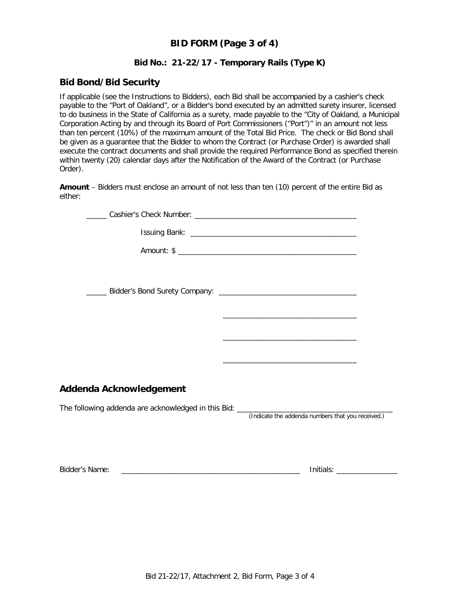# **BID FORM (Page 3 of 4)**

#### **Bid No.: 21-22/17 - Temporary Rails (Type K)**

#### **Bid Bond/Bid Security**

If applicable (see the Instructions to Bidders), each Bid shall be accompanied by a cashier's check payable to the "Port of Oakland", or a Bidder's bond executed by an admitted surety insurer, licensed to do business in the State of California as a surety, made payable to the "City of Oakland, a Municipal Corporation Acting by and through its Board of Port Commissioners ("Port")" in an amount not less than ten percent (10%) of the maximum amount of the Total Bid Price. The check or Bid Bond shall be given as a guarantee that the Bidder to whom the Contract (or Purchase Order) is awarded shall execute the contract documents and shall provide the required Performance Bond as specified therein within twenty (20) calendar days after the Notification of the Award of the Contract (or Purchase Order).

**Amount** – Bidders must enclose an amount of not less than ten (10) percent of the entire Bid as either:

|                         | <u> 1989 - Johann John Stein, markin fan it ferstjer fan de ferstjer fan it ferstjer fan de ferstjer fan it fers</u> |
|-------------------------|----------------------------------------------------------------------------------------------------------------------|
|                         | the control of the control of the control of the control of the control of the control of                            |
| Addenda Acknowledgement |                                                                                                                      |
|                         |                                                                                                                      |
|                         |                                                                                                                      |
|                         | (Indicate the addenda numbers that you received.)                                                                    |
|                         |                                                                                                                      |
|                         |                                                                                                                      |
|                         |                                                                                                                      |
|                         |                                                                                                                      |

Bidder's Name: \_\_\_\_\_\_\_\_\_\_\_\_\_\_\_\_\_\_\_\_\_\_\_\_\_\_\_\_\_\_\_\_\_\_\_\_\_\_\_\_\_\_\_\_ Initials: \_\_\_\_\_\_\_\_\_\_\_\_\_\_\_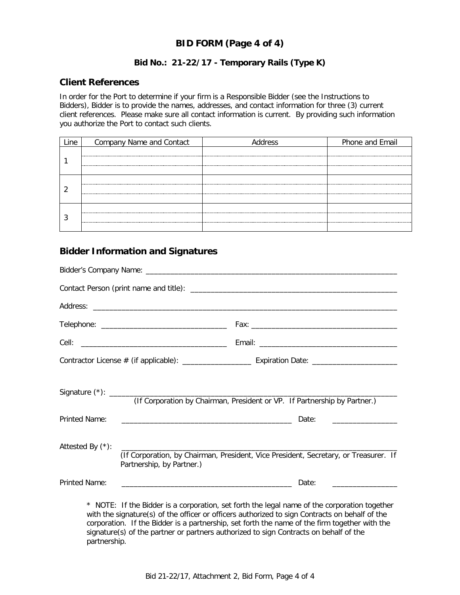# **BID FORM (Page 4 of 4)**

## **Bid No.: 21-22/17 - Temporary Rails (Type K)**

#### **Client References**

In order for the Port to determine if your firm is a Responsible Bidder (see the Instructions to Bidders), Bidder is to provide the names, addresses, and contact information for three (3) current client references. Please make sure all contact information is current. By providing such information you authorize the Port to contact such clients.

| Company Name and Contact | Address | Phone and Email |
|--------------------------|---------|-----------------|
|                          |         |                 |
|                          |         |                 |
|                          |         |                 |
|                          |         |                 |
|                          |         |                 |
|                          |         |                 |
|                          |         |                 |
|                          |         |                 |

# **Bidder Information and Signatures**

|                      |                                                                                                                   | (If Corporation by Chairman, President or VP. If Partnership by Partner.)                                                                                                                      |  |
|----------------------|-------------------------------------------------------------------------------------------------------------------|------------------------------------------------------------------------------------------------------------------------------------------------------------------------------------------------|--|
| <b>Printed Name:</b> |                                                                                                                   | Date:                                                                                                                                                                                          |  |
| Attested By (*):     | (If Corporation, by Chairman, President, Vice President, Secretary, or Treasurer. If<br>Partnership, by Partner.) |                                                                                                                                                                                                |  |
| Printed Name:        |                                                                                                                   | <u> 2000 - Jan James James James James James James James James James James James James James James James James J</u><br>Date:                                                                  |  |
|                      |                                                                                                                   | * NOTE: If the Bidder is a corporation, set forth the legal name of the corporation together<br>with the signature(s) of the officer or officers authorized to sign Contracts on behalf of the |  |

with the signature(s) of the officer or officers authorized to sign Contracts on behalf of the corporation. If the Bidder is a partnership, set forth the name of the firm together with the signature(s) of the partner or partners authorized to sign Contracts on behalf of the partnership.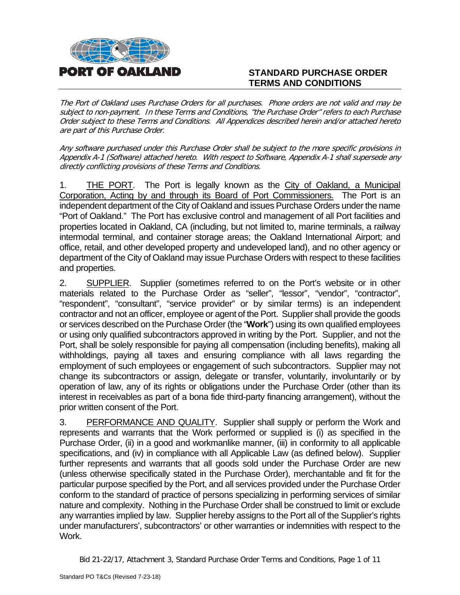

# **STANDARD PURCHASE ORDER TERMS AND CONDITIONS**

The Port of Oakland uses Purchase Orders for all purchases. Phone orders are not valid and may be subject to non-payment. In these Terms and Conditions, "the Purchase Order" refers to each Purchase Order subject to these Terms and Conditions. All Appendices described herein and/or attached hereto are part of this Purchase Order.

Any software purchased under this Purchase Order shall be subject to the more specific provisions in Appendix A-1 (Software) attached hereto. With respect to Software, Appendix A-1 shall supersede any directly conflicting provisions of these Terms and Conditions.

1. THE PORT. The Port is legally known as the City of Oakland, a Municipal Corporation, Acting by and through its Board of Port Commissioners. The Port is an independent department of the City of Oakland and issues Purchase Orders under the name "Port of Oakland." The Port has exclusive control and management of all Port facilities and properties located in Oakland, CA (including, but not limited to, marine terminals, a railway intermodal terminal, and container storage areas; the Oakland International Airport; and office, retail, and other developed property and undeveloped land), and no other agency or department of the City of Oakland may issue Purchase Orders with respect to these facilities and properties.

2. SUPPLIER. Supplier (sometimes referred to on the Port's website or in other materials related to the Purchase Order as "seller", "lessor", "vendor", "contractor", "respondent", "consultant", "service provider" or by similar terms) is an independent contractor and not an officer, employee or agent of the Port. Supplier shall provide the goods or services described on the Purchase Order (the "**Work**") using its own qualified employees or using only qualified subcontractors approved in writing by the Port. Supplier, and not the Port, shall be solely responsible for paying all compensation (including benefits), making all withholdings, paying all taxes and ensuring compliance with all laws regarding the employment of such employees or engagement of such subcontractors. Supplier may not change its subcontractors or assign, delegate or transfer, voluntarily, involuntarily or by operation of law, any of its rights or obligations under the Purchase Order (other than its interest in receivables as part of a bona fide third-party financing arrangement), without the prior written consent of the Port.

3. PERFORMANCE AND QUALITY. Supplier shall supply or perform the Work and represents and warrants that the Work performed or supplied is (i) as specified in the Purchase Order, (ii) in a good and workmanlike manner, (iii) in conformity to all applicable specifications, and (iv) in compliance with all Applicable Law (as defined below). Supplier further represents and warrants that all goods sold under the Purchase Order are new (unless otherwise specifically stated in the Purchase Order), merchantable and fit for the particular purpose specified by the Port, and all services provided under the Purchase Order conform to the standard of practice of persons specializing in performing services of similar nature and complexity. Nothing in the Purchase Order shall be construed to limit or exclude any warranties implied by law. Supplier hereby assigns to the Port all of the Supplier's rights under manufacturers', subcontractors' or other warranties or indemnities with respect to the Work.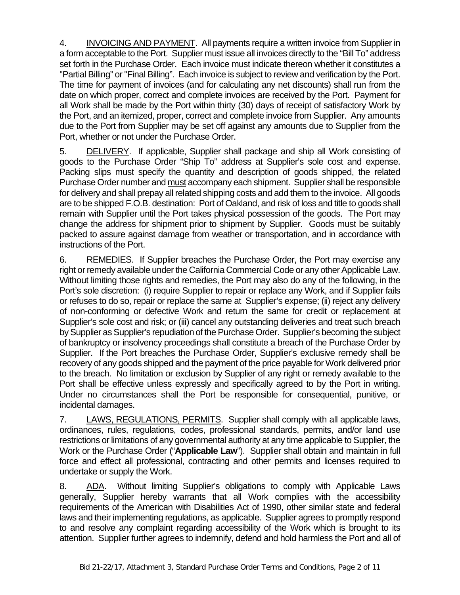4. INVOICING AND PAYMENT. All payments require a written invoice from Supplier in a form acceptable to the Port. Supplier must issue all invoices directly to the "Bill To" address set forth in the Purchase Order. Each invoice must indicate thereon whether it constitutes a "Partial Billing" or "Final Billing". Each invoice is subject to review and verification by the Port. The time for payment of invoices (and for calculating any net discounts) shall run from the date on which proper, correct and complete invoices are received by the Port. Payment for all Work shall be made by the Port within thirty (30) days of receipt of satisfactory Work by the Port, and an itemized, proper, correct and complete invoice from Supplier. Any amounts due to the Port from Supplier may be set off against any amounts due to Supplier from the Port, whether or not under the Purchase Order.

5. DELIVERY. If applicable, Supplier shall package and ship all Work consisting of goods to the Purchase Order "Ship To" address at Supplier's sole cost and expense. Packing slips must specify the quantity and description of goods shipped, the related Purchase Order number and must accompany each shipment. Supplier shall be responsible for delivery and shall prepay all related shipping costs and add them to the invoice. All goods are to be shipped F.O.B. destination: Port of Oakland, and risk of loss and title to goods shall remain with Supplier until the Port takes physical possession of the goods. The Port may change the address for shipment prior to shipment by Supplier. Goods must be suitably packed to assure against damage from weather or transportation, and in accordance with instructions of the Port.

6. REMEDIES. If Supplier breaches the Purchase Order, the Port may exercise any right or remedy available under the California Commercial Code or any other Applicable Law. Without limiting those rights and remedies, the Port may also do any of the following, in the Port's sole discretion: (i) require Supplier to repair or replace any Work, and if Supplier fails or refuses to do so, repair or replace the same at Supplier's expense; (ii) reject any delivery of non-conforming or defective Work and return the same for credit or replacement at Supplier's sole cost and risk; or (iii) cancel any outstanding deliveries and treat such breach by Supplier as Supplier's repudiation of the Purchase Order. Supplier's becoming the subject of bankruptcy or insolvency proceedings shall constitute a breach of the Purchase Order by Supplier. If the Port breaches the Purchase Order, Supplier's exclusive remedy shall be recovery of any goods shipped and the payment of the price payable for Work delivered prior to the breach. No limitation or exclusion by Supplier of any right or remedy available to the Port shall be effective unless expressly and specifically agreed to by the Port in writing. Under no circumstances shall the Port be responsible for consequential, punitive, or incidental damages.

7. LAWS, REGULATIONS, PERMITS. Supplier shall comply with all applicable laws, ordinances, rules, regulations, codes, professional standards, permits, and/or land use restrictions or limitations of any governmental authority at any time applicable to Supplier, the Work or the Purchase Order ("**Applicable Law**"). Supplier shall obtain and maintain in full force and effect all professional, contracting and other permits and licenses required to undertake or supply the Work.

8. ADA. Without limiting Supplier's obligations to comply with Applicable Laws generally, Supplier hereby warrants that all Work complies with the accessibility requirements of the American with Disabilities Act of 1990, other similar state and federal laws and their implementing regulations, as applicable. Supplier agrees to promptly respond to and resolve any complaint regarding accessibility of the Work which is brought to its attention. Supplier further agrees to indemnify, defend and hold harmless the Port and all of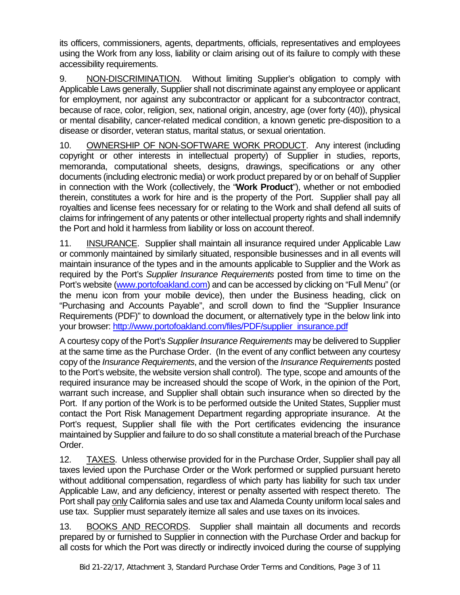its officers, commissioners, agents, departments, officials, representatives and employees using the Work from any loss, liability or claim arising out of its failure to comply with these accessibility requirements.

9. NON-DISCRIMINATION. Without limiting Supplier's obligation to comply with Applicable Laws generally, Supplier shall not discriminate against any employee or applicant for employment, nor against any subcontractor or applicant for a subcontractor contract, because of race, color, religion, sex, national origin, ancestry, age (over forty (40)), physical or mental disability, cancer-related medical condition, a known genetic pre-disposition to a disease or disorder, veteran status, marital status, or sexual orientation.

10. OWNERSHIP OF NON-SOFTWARE WORK PRODUCT. Any interest (including copyright or other interests in intellectual property) of Supplier in studies, reports, memoranda, computational sheets, designs, drawings, specifications or any other documents (including electronic media) or work product prepared by or on behalf of Supplier in connection with the Work (collectively, the "**Work Product**"), whether or not embodied therein, constitutes a work for hire and is the property of the Port. Supplier shall pay all royalties and license fees necessary for or relating to the Work and shall defend all suits of claims for infringement of any patents or other intellectual property rights and shall indemnify the Port and hold it harmless from liability or loss on account thereof.

11. INSURANCE. Supplier shall maintain all insurance required under Applicable Law or commonly maintained by similarly situated, responsible businesses and in all events will maintain insurance of the types and in the amounts applicable to Supplier and the Work as required by the Port's *Supplier Insurance Requirements* posted from time to time on the Port's website [\(www.portofoakland.com\)](http://www.portofoakland.com/) and can be accessed by clicking on "Full Menu" (or the menu icon from your mobile device), then under the Business heading, click on "Purchasing and Accounts Payable", and scroll down to find the "Supplier Insurance Requirements (PDF)" to download the document, or alternatively type in the below link into your browser: [http://www.portofoakland.com/files/PDF/supplier\\_insurance.pdf](http://www.portofoakland.com/files/PDF/supplier_insurance.pdf)

A courtesy copy of the Port's *Supplier Insurance Requirements* may be delivered to Supplier at the same time as the Purchase Order. (In the event of any conflict between any courtesy copy of the *Insurance Requirements*, and the version of the *Insurance Requirements* posted to the Port's website, the website version shall control). The type, scope and amounts of the required insurance may be increased should the scope of Work, in the opinion of the Port, warrant such increase, and Supplier shall obtain such insurance when so directed by the Port. If any portion of the Work is to be performed outside the United States, Supplier must contact the Port Risk Management Department regarding appropriate insurance. At the Port's request, Supplier shall file with the Port certificates evidencing the insurance maintained by Supplier and failure to do so shall constitute a material breach of the Purchase Order.

12. TAXES. Unless otherwise provided for in the Purchase Order, Supplier shall pay all taxes levied upon the Purchase Order or the Work performed or supplied pursuant hereto without additional compensation, regardless of which party has liability for such tax under Applicable Law, and any deficiency, interest or penalty asserted with respect thereto. The Port shall pay only California sales and use tax and Alameda County uniform local sales and use tax. Supplier must separately itemize all sales and use taxes on its invoices.

13. BOOKS AND RECORDS. Supplier shall maintain all documents and records prepared by or furnished to Supplier in connection with the Purchase Order and backup for all costs for which the Port was directly or indirectly invoiced during the course of supplying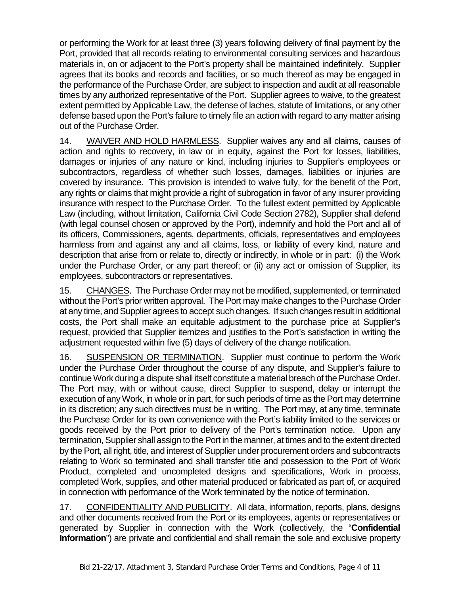or performing the Work for at least three (3) years following delivery of final payment by the Port, provided that all records relating to environmental consulting services and hazardous materials in, on or adjacent to the Port's property shall be maintained indefinitely. Supplier agrees that its books and records and facilities, or so much thereof as may be engaged in the performance of the Purchase Order, are subject to inspection and audit at all reasonable times by any authorized representative of the Port. Supplier agrees to waive, to the greatest extent permitted by Applicable Law, the defense of laches, statute of limitations, or any other defense based upon the Port's failure to timely file an action with regard to any matter arising out of the Purchase Order.

14. WAIVER AND HOLD HARMLESS. Supplier waives any and all claims, causes of action and rights to recovery, in law or in equity, against the Port for losses, liabilities, damages or injuries of any nature or kind, including injuries to Supplier's employees or subcontractors, regardless of whether such losses, damages, liabilities or injuries are covered by insurance. This provision is intended to waive fully, for the benefit of the Port, any rights or claims that might provide a right of subrogation in favor of any insurer providing insurance with respect to the Purchase Order. To the fullest extent permitted by Applicable Law (including, without limitation, California Civil Code Section 2782), Supplier shall defend (with legal counsel chosen or approved by the Port), indemnify and hold the Port and all of its officers, Commissioners, agents, departments, officials, representatives and employees harmless from and against any and all claims, loss, or liability of every kind, nature and description that arise from or relate to, directly or indirectly, in whole or in part: (i) the Work under the Purchase Order, or any part thereof; or (ii) any act or omission of Supplier, its employees, subcontractors or representatives.

15. CHANGES. The Purchase Order may not be modified, supplemented, or terminated without the Port's prior written approval. The Port may make changes to the Purchase Order at any time, and Supplier agrees to accept such changes. If such changes result in additional costs, the Port shall make an equitable adjustment to the purchase price at Supplier's request, provided that Supplier itemizes and justifies to the Port's satisfaction in writing the adjustment requested within five (5) days of delivery of the change notification.

16. SUSPENSION OR TERMINATION. Supplier must continue to perform the Work under the Purchase Order throughout the course of any dispute, and Supplier's failure to continue Work during a dispute shall itself constitute a material breach of the Purchase Order. The Port may, with or without cause, direct Supplier to suspend, delay or interrupt the execution of any Work, in whole or in part, for such periods of time as the Port may determine in its discretion; any such directives must be in writing. The Port may, at any time, terminate the Purchase Order for its own convenience with the Port's liability limited to the services or goods received by the Port prior to delivery of the Port's termination notice. Upon any termination, Supplier shall assign to the Port in the manner, at times and to the extent directed by the Port, all right, title, and interest of Supplier under procurement orders and subcontracts relating to Work so terminated and shall transfer title and possession to the Port of Work Product, completed and uncompleted designs and specifications, Work in process, completed Work, supplies, and other material produced or fabricated as part of, or acquired in connection with performance of the Work terminated by the notice of termination.

17. CONFIDENTIALITY AND PUBLICITY. All data, information, reports, plans, designs and other documents received from the Port or its employees, agents or representatives or generated by Supplier in connection with the Work (collectively, the "**Confidential Information**") are private and confidential and shall remain the sole and exclusive property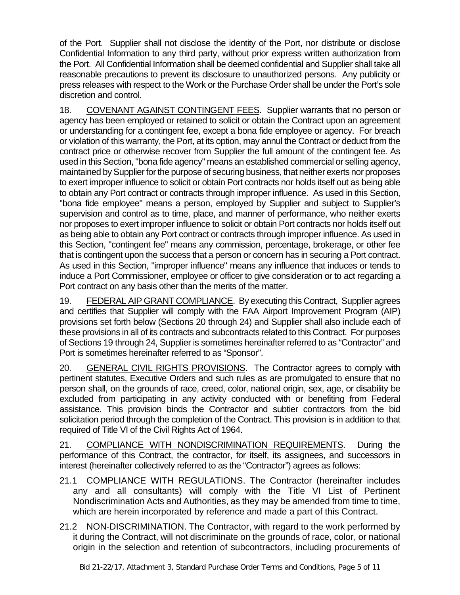of the Port. Supplier shall not disclose the identity of the Port, nor distribute or disclose Confidential Information to any third party, without prior express written authorization from the Port. All Confidential Information shall be deemed confidential and Supplier shall take all reasonable precautions to prevent its disclosure to unauthorized persons. Any publicity or press releases with respect to the Work or the Purchase Order shall be under the Port's sole discretion and control.

18. COVENANT AGAINST CONTINGENT FEES. Supplier warrants that no person or agency has been employed or retained to solicit or obtain the Contract upon an agreement or understanding for a contingent fee, except a bona fide employee or agency. For breach or violation of this warranty, the Port, at its option, may annul the Contract or deduct from the contract price or otherwise recover from Supplier the full amount of the contingent fee. As used in this Section, "bona fide agency" means an established commercial or selling agency, maintained by Supplier for the purpose of securing business, that neither exerts nor proposes to exert improper influence to solicit or obtain Port contracts nor holds itself out as being able to obtain any Port contract or contracts through improper influence. As used in this Section, "bona fide employee" means a person, employed by Supplier and subject to Supplier's supervision and control as to time, place, and manner of performance, who neither exerts nor proposes to exert improper influence to solicit or obtain Port contracts nor holds itself out as being able to obtain any Port contract or contracts through improper influence. As used in this Section, "contingent fee" means any commission, percentage, brokerage, or other fee that is contingent upon the success that a person or concern has in securing a Port contract. As used in this Section, "improper influence" means any influence that induces or tends to induce a Port Commissioner, employee or officer to give consideration or to act regarding a Port contract on any basis other than the merits of the matter.

19. FEDERAL AIP GRANT COMPLIANCE. By executing this Contract, Supplier agrees and certifies that Supplier will comply with the FAA Airport Improvement Program (AIP) provisions set forth below (Sections 20 through 24) and Supplier shall also include each of these provisions in all of its contracts and subcontracts related to this Contract. For purposes of Sections 19 through 24, Supplier is sometimes hereinafter referred to as "Contractor" and Port is sometimes hereinafter referred to as "Sponsor".

20. GENERAL CIVIL RIGHTS PROVISIONS.The Contractor agrees to comply with pertinent statutes, Executive Orders and such rules as are promulgated to ensure that no person shall, on the grounds of race, creed, color, national origin, sex, age, or disability be excluded from participating in any activity conducted with or benefiting from Federal assistance. This provision binds the Contractor and subtier contractors from the bid solicitation period through the completion of the Contract. This provision is in addition to that required of Title VI of the Civil Rights Act of 1964.

21. COMPLIANCE WITH NONDISCRIMINATION REQUIREMENTS. During the performance of this Contract, the contractor, for itself, its assignees, and successors in interest (hereinafter collectively referred to as the "Contractor") agrees as follows:

- 21.1 COMPLIANCE WITH REGULATIONS. The Contractor (hereinafter includes any and all consultants) will comply with the Title VI List of Pertinent Nondiscrimination Acts and Authorities, as they may be amended from time to time, which are herein incorporated by reference and made a part of this Contract.
- 21.2 NON-DISCRIMINATION. The Contractor, with regard to the work performed by it during the Contract, will not discriminate on the grounds of race, color, or national origin in the selection and retention of subcontractors, including procurements of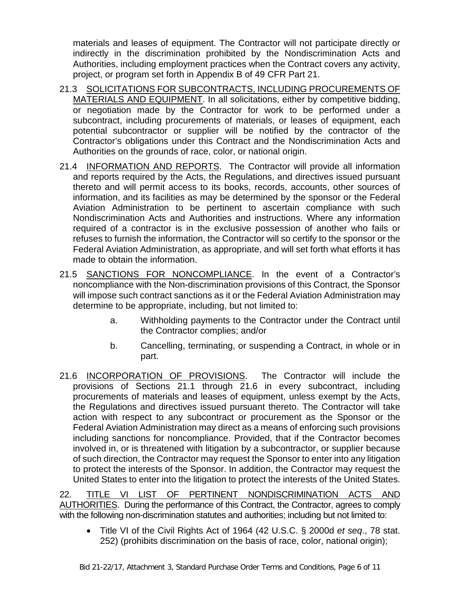materials and leases of equipment. The Contractor will not participate directly or indirectly in the discrimination prohibited by the Nondiscrimination Acts and Authorities, including employment practices when the Contract covers any activity, project, or program set forth in Appendix B of 49 CFR Part 21.

- 21.3 SOLICITATIONS FOR SUBCONTRACTS, INCLUDING PROCUREMENTS OF MATERIALS AND EQUIPMENT. In all solicitations, either by competitive bidding, or negotiation made by the Contractor for work to be performed under a subcontract, including procurements of materials, or leases of equipment, each potential subcontractor or supplier will be notified by the contractor of the Contractor's obligations under this Contract and the Nondiscrimination Acts and Authorities on the grounds of race, color, or national origin.
- 21.4 INFORMATION AND REPORTS. The Contractor will provide all information and reports required by the Acts, the Regulations, and directives issued pursuant thereto and will permit access to its books, records, accounts, other sources of information, and its facilities as may be determined by the sponsor or the Federal Aviation Administration to be pertinent to ascertain compliance with such Nondiscrimination Acts and Authorities and instructions. Where any information required of a contractor is in the exclusive possession of another who fails or refuses to furnish the information, the Contractor will so certify to the sponsor or the Federal Aviation Administration, as appropriate, and will set forth what efforts it has made to obtain the information.
- 21.5 SANCTIONS FOR NONCOMPLIANCE. In the event of a Contractor's noncompliance with the Non-discrimination provisions of this Contract, the Sponsor will impose such contract sanctions as it or the Federal Aviation Administration may determine to be appropriate, including, but not limited to:
	- a. Withholding payments to the Contractor under the Contract until the Contractor complies; and/or
	- b. Cancelling, terminating, or suspending a Contract, in whole or in part.
- 21.6 INCORPORATION OF PROVISIONS.The Contractor will include the provisions of Sections 21.1 through 21.6 in every subcontract, including procurements of materials and leases of equipment, unless exempt by the Acts, the Regulations and directives issued pursuant thereto. The Contractor will take action with respect to any subcontract or procurement as the Sponsor or the Federal Aviation Administration may direct as a means of enforcing such provisions including sanctions for noncompliance. Provided, that if the Contractor becomes involved in, or is threatened with litigation by a subcontractor, or supplier because of such direction, the Contractor may request the Sponsor to enter into any litigation to protect the interests of the Sponsor. In addition, the Contractor may request the United States to enter into the litigation to protect the interests of the United States.

22. TITLE VI LIST OF PERTINENT NONDISCRIMINATION ACTS AND AUTHORITIES. During the performance of this Contract, the Contractor, agrees to comply with the following non-discrimination statutes and authorities; including but not limited to:

• Title VI of the Civil Rights Act of 1964 (42 U.S.C. § 2000d *et seq*., 78 stat. 252) (prohibits discrimination on the basis of race, color, national origin);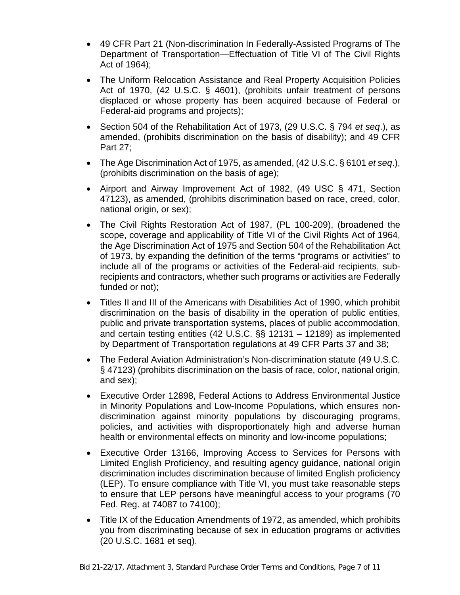- 49 CFR Part 21 (Non-discrimination In Federally-Assisted Programs of The Department of Transportation—Effectuation of Title VI of The Civil Rights Act of 1964);
- The Uniform Relocation Assistance and Real Property Acquisition Policies Act of 1970, (42 U.S.C. § 4601), (prohibits unfair treatment of persons displaced or whose property has been acquired because of Federal or Federal-aid programs and projects);
- Section 504 of the Rehabilitation Act of 1973, (29 U.S.C. § 794 *et seq*.), as amended, (prohibits discrimination on the basis of disability); and 49 CFR Part 27;
- The Age Discrimination Act of 1975, as amended, (42 U.S.C. § 6101 *et seq*.), (prohibits discrimination on the basis of age);
- Airport and Airway Improvement Act of 1982, (49 USC § 471, Section 47123), as amended, (prohibits discrimination based on race, creed, color, national origin, or sex);
- The Civil Rights Restoration Act of 1987, (PL 100-209), (broadened the scope, coverage and applicability of Title VI of the Civil Rights Act of 1964, the Age Discrimination Act of 1975 and Section 504 of the Rehabilitation Act of 1973, by expanding the definition of the terms "programs or activities" to include all of the programs or activities of the Federal-aid recipients, subrecipients and contractors, whether such programs or activities are Federally funded or not);
- Titles II and III of the Americans with Disabilities Act of 1990, which prohibit discrimination on the basis of disability in the operation of public entities, public and private transportation systems, places of public accommodation, and certain testing entities (42 U.S.C. §§ 12131 – 12189) as implemented by Department of Transportation regulations at 49 CFR Parts 37 and 38;
- The Federal Aviation Administration's Non-discrimination statute (49 U.S.C. § 47123) (prohibits discrimination on the basis of race, color, national origin, and sex);
- Executive Order 12898, Federal Actions to Address Environmental Justice in Minority Populations and Low-Income Populations, which ensures nondiscrimination against minority populations by discouraging programs, policies, and activities with disproportionately high and adverse human health or environmental effects on minority and low-income populations;
- Executive Order 13166, Improving Access to Services for Persons with Limited English Proficiency, and resulting agency guidance, national origin discrimination includes discrimination because of limited English proficiency (LEP). To ensure compliance with Title VI, you must take reasonable steps to ensure that LEP persons have meaningful access to your programs (70 Fed. Reg. at 74087 to 74100);
- Title IX of the Education Amendments of 1972, as amended, which prohibits you from discriminating because of sex in education programs or activities (20 U.S.C. 1681 et seq).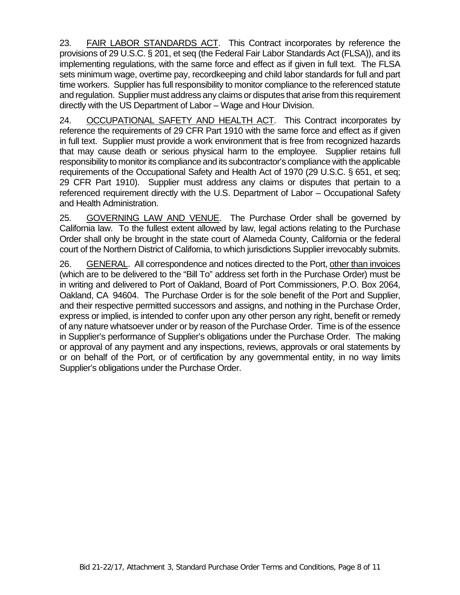23. FAIR LABOR STANDARDS ACT. This Contract incorporates by reference the provisions of 29 U.S.C. § 201, et seq (the Federal Fair Labor Standards Act (FLSA)), and its implementing regulations, with the same force and effect as if given in full text. The FLSA sets minimum wage, overtime pay, recordkeeping and child labor standards for full and part time workers. Supplier has full responsibility to monitor compliance to the referenced statute and regulation. Supplier must address any claims or disputes that arise from this requirement directly with the US Department of Labor – Wage and Hour Division.

24. OCCUPATIONAL SAFETY AND HEALTH ACT.This Contract incorporates by reference the requirements of 29 CFR Part 1910 with the same force and effect as if given in full text. Supplier must provide a work environment that is free from recognized hazards that may cause death or serious physical harm to the employee. Supplier retains full responsibility to monitor its compliance and its subcontractor's compliance with the applicable requirements of the Occupational Safety and Health Act of 1970 (29 U.S.C. § 651, et seq; 29 CFR Part 1910). Supplier must address any claims or disputes that pertain to a referenced requirement directly with the U.S. Department of Labor – Occupational Safety and Health Administration.

25. GOVERNING LAW AND VENUE. The Purchase Order shall be governed by California law. To the fullest extent allowed by law, legal actions relating to the Purchase Order shall only be brought in the state court of Alameda County, California or the federal court of the Northern District of California, to which jurisdictions Supplier irrevocably submits.

26. GENERAL. All correspondence and notices directed to the Port, other than invoices (which are to be delivered to the "Bill To" address set forth in the Purchase Order) must be in writing and delivered to Port of Oakland, Board of Port Commissioners, P.O. Box 2064, Oakland, CA 94604. The Purchase Order is for the sole benefit of the Port and Supplier, and their respective permitted successors and assigns, and nothing in the Purchase Order, express or implied, is intended to confer upon any other person any right, benefit or remedy of any nature whatsoever under or by reason of the Purchase Order. Time is of the essence in Supplier's performance of Supplier's obligations under the Purchase Order. The making or approval of any payment and any inspections, reviews, approvals or oral statements by or on behalf of the Port, or of certification by any governmental entity, in no way limits Supplier's obligations under the Purchase Order.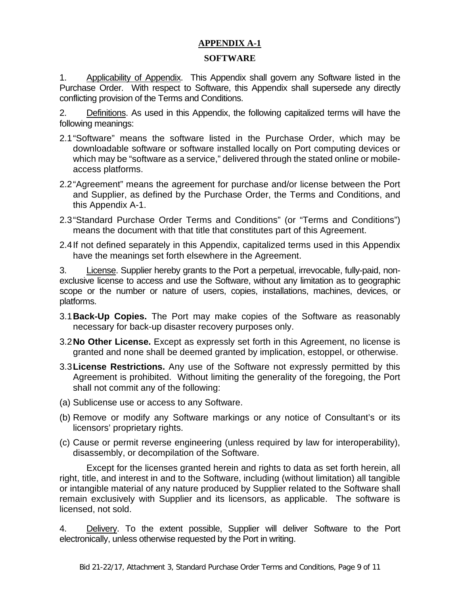# **APPENDIX A-1**

## **SOFTWARE**

1. Applicability of Appendix. This Appendix shall govern any Software listed in the Purchase Order. With respect to Software, this Appendix shall supersede any directly conflicting provision of the Terms and Conditions.

2. Definitions. As used in this Appendix, the following capitalized terms will have the following meanings:

- 2.1"Software" means the software listed in the Purchase Order, which may be downloadable software or software installed locally on Port computing devices or which may be "software as a service," delivered through the stated online or mobileaccess platforms.
- 2.2"Agreement" means the agreement for purchase and/or license between the Port and Supplier, as defined by the Purchase Order, the Terms and Conditions, and this Appendix A-1.
- 2.3"Standard Purchase Order Terms and Conditions" (or "Terms and Conditions") means the document with that title that constitutes part of this Agreement.
- 2.4If not defined separately in this Appendix, capitalized terms used in this Appendix have the meanings set forth elsewhere in the Agreement.

3. License. Supplier hereby grants to the Port a perpetual, irrevocable, fully-paid, nonexclusive license to access and use the Software, without any limitation as to geographic scope or the number or nature of users, copies, installations, machines, devices, or platforms.

- 3.1**Back-Up Copies.** The Port may make copies of the Software as reasonably necessary for back-up disaster recovery purposes only.
- 3.2**No Other License.** Except as expressly set forth in this Agreement, no license is granted and none shall be deemed granted by implication, estoppel, or otherwise.
- 3.3**License Restrictions.** Any use of the Software not expressly permitted by this Agreement is prohibited. Without limiting the generality of the foregoing, the Port shall not commit any of the following:
- (a) Sublicense use or access to any Software.
- (b) Remove or modify any Software markings or any notice of Consultant's or its licensors' proprietary rights.
- (c) Cause or permit reverse engineering (unless required by law for interoperability), disassembly, or decompilation of the Software.

Except for the licenses granted herein and rights to data as set forth herein, all right, title, and interest in and to the Software, including (without limitation) all tangible or intangible material of any nature produced by Supplier related to the Software shall remain exclusively with Supplier and its licensors, as applicable. The software is licensed, not sold.

4. Delivery. To the extent possible, Supplier will deliver Software to the Port electronically, unless otherwise requested by the Port in writing.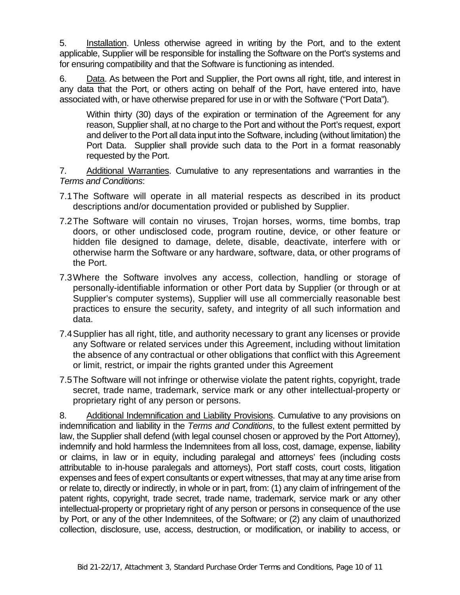5. Installation. Unless otherwise agreed in writing by the Port, and to the extent applicable, Supplier will be responsible for installing the Software on the Port's systems and for ensuring compatibility and that the Software is functioning as intended.

6. Data. As between the Port and Supplier, the Port owns all right, title, and interest in any data that the Port, or others acting on behalf of the Port, have entered into, have associated with, or have otherwise prepared for use in or with the Software ("Port Data").

Within thirty (30) days of the expiration or termination of the Agreement for any reason, Supplier shall, at no charge to the Port and without the Port's request, export and deliver to the Port all data input into the Software, including (without limitation) the Port Data. Supplier shall provide such data to the Port in a format reasonably requested by the Port.

7. Additional Warranties. Cumulative to any representations and warranties in the *Terms and Conditions*:

- 7.1The Software will operate in all material respects as described in its product descriptions and/or documentation provided or published by Supplier.
- 7.2The Software will contain no viruses, Trojan horses, worms, time bombs, trap doors, or other undisclosed code, program routine, device, or other feature or hidden file designed to damage, delete, disable, deactivate, interfere with or otherwise harm the Software or any hardware, software, data, or other programs of the Port.
- 7.3Where the Software involves any access, collection, handling or storage of personally-identifiable information or other Port data by Supplier (or through or at Supplier's computer systems), Supplier will use all commercially reasonable best practices to ensure the security, safety, and integrity of all such information and data.
- 7.4Supplier has all right, title, and authority necessary to grant any licenses or provide any Software or related services under this Agreement, including without limitation the absence of any contractual or other obligations that conflict with this Agreement or limit, restrict, or impair the rights granted under this Agreement
- 7.5The Software will not infringe or otherwise violate the patent rights, copyright, trade secret, trade name, trademark, service mark or any other intellectual-property or proprietary right of any person or persons.

8. Additional Indemnification and Liability Provisions. Cumulative to any provisions on indemnification and liability in the *Terms and Conditions*, to the fullest extent permitted by law, the Supplier shall defend (with legal counsel chosen or approved by the Port Attorney), indemnify and hold harmless the Indemnitees from all loss, cost, damage, expense, liability or claims, in law or in equity, including paralegal and attorneys' fees (including costs attributable to in-house paralegals and attorneys), Port staff costs, court costs, litigation expenses and fees of expert consultants or expert witnesses, that may at any time arise from or relate to, directly or indirectly, in whole or in part, from: (1) any claim of infringement of the patent rights, copyright, trade secret, trade name, trademark, service mark or any other intellectual-property or proprietary right of any person or persons in consequence of the use by Port, or any of the other Indemnitees, of the Software; or (2) any claim of unauthorized collection, disclosure, use, access, destruction, or modification, or inability to access, or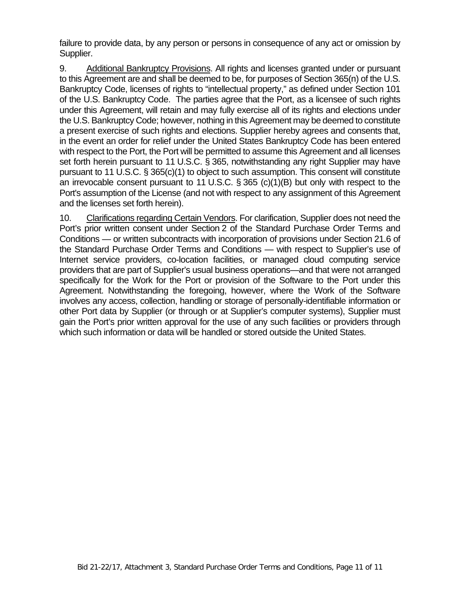failure to provide data, by any person or persons in consequence of any act or omission by Supplier.

9. Additional Bankruptcy Provisions. All rights and licenses granted under or pursuant to this Agreement are and shall be deemed to be, for purposes of Section 365(n) of the U.S. Bankruptcy Code, licenses of rights to "intellectual property," as defined under Section 101 of the U.S. Bankruptcy Code. The parties agree that the Port, as a licensee of such rights under this Agreement, will retain and may fully exercise all of its rights and elections under the U.S. Bankruptcy Code; however, nothing in this Agreement may be deemed to constitute a present exercise of such rights and elections. Supplier hereby agrees and consents that, in the event an order for relief under the United States Bankruptcy Code has been entered with respect to the Port, the Port will be permitted to assume this Agreement and all licenses set forth herein pursuant to 11 U.S.C. § 365, notwithstanding any right Supplier may have pursuant to 11 U.S.C. § 365(c)(1) to object to such assumption. This consent will constitute an irrevocable consent pursuant to 11 U.S.C. § 365 (c)(1)(B) but only with respect to the Port's assumption of the License (and not with respect to any assignment of this Agreement and the licenses set forth herein).

10. Clarifications regarding Certain Vendors. For clarification, Supplier does not need the Port's prior written consent under Section 2 of the Standard Purchase Order Terms and Conditions — or written subcontracts with incorporation of provisions under Section 21.6 of the Standard Purchase Order Terms and Conditions — with respect to Supplier's use of Internet service providers, co-location facilities, or managed cloud computing service providers that are part of Supplier's usual business operations—and that were not arranged specifically for the Work for the Port or provision of the Software to the Port under this Agreement. Notwithstanding the foregoing, however, where the Work of the Software involves any access, collection, handling or storage of personally-identifiable information or other Port data by Supplier (or through or at Supplier's computer systems), Supplier must gain the Port's prior written approval for the use of any such facilities or providers through which such information or data will be handled or stored outside the United States.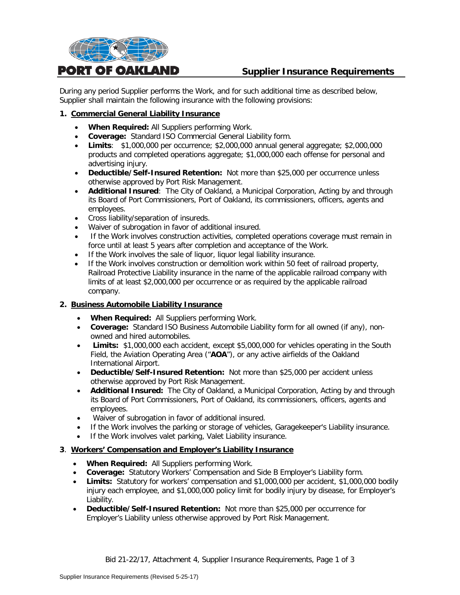

# **Supplier Insurance Requirements**

During any period Supplier performs the Work, and for such additional time as described below, Supplier shall maintain the following insurance with the following provisions:

#### **1. Commercial General Liability Insurance**

- **When Required:** All Suppliers performing Work.
- **Coverage:** Standard ISO Commercial General Liability form.
- **Limits**: \$1,000,000 per occurrence; \$2,000,000 annual general aggregate; \$2,000,000 products and completed operations aggregate; \$1,000,000 each offense for personal and advertising injury.
- **Deductible/Self-Insured Retention:** Not more than \$25,000 per occurrence unless otherwise approved by Port Risk Management.
- **Additional Insured**: The City of Oakland, a Municipal Corporation, Acting by and through its Board of Port Commissioners, Port of Oakland, its commissioners, officers, agents and employees.
- Cross liability/separation of insureds.
- Waiver of subrogation in favor of additional insured.
- If the Work involves construction activities, completed operations coverage must remain in force until at least 5 years after completion and acceptance of the Work.
- If the Work involves the sale of liquor, liquor legal liability insurance.
- If the Work involves construction or demolition work within 50 feet of railroad property, Railroad Protective Liability insurance in the name of the applicable railroad company with limits of at least \$2,000,000 per occurrence or as required by the applicable railroad company.

#### **2. Business Automobile Liability Insurance**

- **When Required:** All Suppliers performing Work.
- **Coverage:** Standard ISO Business Automobile Liability form for all owned (if any), nonowned and hired automobiles.
- **Limits:** \$1,000,000 each accident, except \$5,000,000 for vehicles operating in the South Field, the Aviation Operating Area ("**AOA**"), or any active airfields of the Oakland International Airport.
- **Deductible/Self-Insured Retention:** Not more than \$25,000 per accident unless otherwise approved by Port Risk Management.
- **Additional Insured:** The City of Oakland, a Municipal Corporation, Acting by and through its Board of Port Commissioners, Port of Oakland, its commissioners, officers, agents and employees.
- Waiver of subrogation in favor of additional insured.
- If the Work involves the parking or storage of vehicles, Garagekeeper's Liability insurance.
- If the Work involves valet parking, Valet Liability insurance.

#### **3**. **Workers' Compensation and Employer's Liability Insurance**

- **When Required:** All Suppliers performing Work.
- **Coverage:** Statutory Workers' Compensation and Side B Employer's Liability form.
- **Limits:** Statutory for workers' compensation and \$1,000,000 per accident, \$1,000,000 bodily injury each employee, and \$1,000,000 policy limit for bodily injury by disease, for Employer's Liability.
- **Deductible/Self-Insured Retention:** Not more than \$25,000 per occurrence for Employer's Liability unless otherwise approved by Port Risk Management.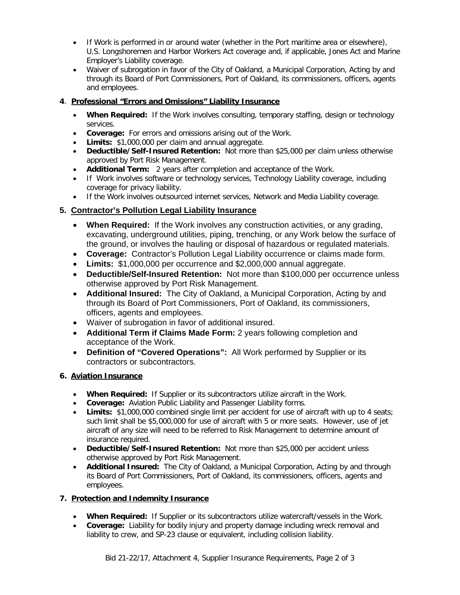- If Work is performed in or around water (whether in the Port maritime area or elsewhere), U.S. Longshoremen and Harbor Workers Act coverage and, if applicable, Jones Act and Marine Employer's Liability coverage.
- Waiver of subrogation in favor of the City of Oakland, a Municipal Corporation, Acting by and through its Board of Port Commissioners, Port of Oakland, its commissioners, officers, agents and employees.

# **4**. **Professional "Errors and Omissions" Liability Insurance**

- **When Required:** If the Work involves consulting, temporary staffing, design or technology services.
- **Coverage:** For errors and omissions arising out of the Work.
- **Limits:** \$1,000,000 per claim and annual aggregate.
- **Deductible/Self-Insured Retention:** Not more than \$25,000 per claim unless otherwise approved by Port Risk Management.
- **Additional Term:** 2 years after completion and acceptance of the Work.
- If Work involves software or technology services, Technology Liability coverage, including coverage for privacy liability.
- If the Work involves outsourced internet services, Network and Media Liability coverage.

# **5. Contractor's Pollution Legal Liability Insurance**

- **When Required:** If the Work involves any construction activities, or any grading, excavating, underground utilities, piping, trenching, or any Work below the surface of the ground, or involves the hauling or disposal of hazardous or regulated materials.
- **Coverage:** Contractor's Pollution Legal Liability occurrence or claims made form.
- **Limits:** \$1,000,000 per occurrence and \$2,000,000 annual aggregate.
- **Deductible/Self-Insured Retention:** Not more than \$100,000 per occurrence unless otherwise approved by Port Risk Management.
- **Additional Insured:** The City of Oakland, a Municipal Corporation, Acting by and through its Board of Port Commissioners, Port of Oakland, its commissioners, officers, agents and employees.
- Waiver of subrogation in favor of additional insured.
- **Additional Term if Claims Made Form:** 2 years following completion and acceptance of the Work.
- **Definition of "Covered Operations":** All Work performed by Supplier or its contractors or subcontractors.

### **6. Aviation Insurance**

- **When Required:** If Supplier or its subcontractors utilize aircraft in the Work.
- **Coverage:** Aviation Public Liability and Passenger Liability forms.
- **Limits:** \$1,000,000 combined single limit per accident for use of aircraft with up to 4 seats; such limit shall be \$5,000,000 for use of aircraft with 5 or more seats. However, use of jet aircraft of any size will need to be referred to Risk Management to determine amount of insurance required.
- **Deductible/Self-Insured Retention:** Not more than \$25,000 per accident unless otherwise approved by Port Risk Management.
- **Additional Insured:** The City of Oakland, a Municipal Corporation, Acting by and through its Board of Port Commissioners, Port of Oakland, its commissioners, officers, agents and employees.

### **7. Protection and Indemnity Insurance**

- **When Required:** If Supplier or its subcontractors utilize watercraft/vessels in the Work.
- **Coverage:** Liability for bodily injury and property damage including wreck removal and liability to crew, and SP-23 clause or equivalent, including collision liability.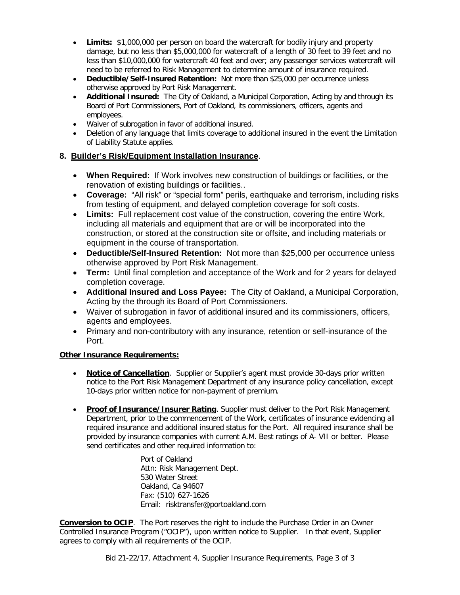- **Limits:** \$1,000,000 per person on board the watercraft for bodily injury and property damage, but no less than \$5,000,000 for watercraft of a length of 30 feet to 39 feet and no less than \$10,000,000 for watercraft 40 feet and over; any passenger services watercraft will need to be referred to Risk Management to determine amount of insurance required.
- **Deductible/Self-Insured Retention:** Not more than \$25,000 per occurrence unless otherwise approved by Port Risk Management.
- **Additional Insured:** The City of Oakland, a Municipal Corporation, Acting by and through its Board of Port Commissioners, Port of Oakland, its commissioners, officers, agents and employees.
- Waiver of subrogation in favor of additional insured.
- Deletion of any language that limits coverage to additional insured in the event the Limitation of Liability Statute applies.

### **8. Builder's Risk/Equipment Installation Insurance**.

- **When Required:** If Work involves new construction of buildings or facilities, or the renovation of existing buildings or facilities..
- **Coverage:** "All risk" or "special form" perils, earthquake and terrorism, including risks from testing of equipment, and delayed completion coverage for soft costs.
- **Limits:** Full replacement cost value of the construction, covering the entire Work, including all materials and equipment that are or will be incorporated into the construction, or stored at the construction site or offsite, and including materials or equipment in the course of transportation.
- **Deductible/Self-Insured Retention:** Not more than \$25,000 per occurrence unless otherwise approved by Port Risk Management.
- **Term:** Until final completion and acceptance of the Work and for 2 years for delayed completion coverage.
- **Additional Insured and Loss Payee:** The City of Oakland, a Municipal Corporation, Acting by the through its Board of Port Commissioners.
- Waiver of subrogation in favor of additional insured and its commissioners, officers, agents and employees.
- Primary and non-contributory with any insurance, retention or self-insurance of the Port.

### **Other Insurance Requirements:**

- **Notice of Cancellation**. Supplier or Supplier's agent must provide 30-days prior written notice to the Port Risk Management Department of any insurance policy cancellation, except 10-days prior written notice for non-payment of premium.
- **Proof of Insurance/Insurer Rating**. Supplier must deliver to the Port Risk Management Department, prior to the commencement of the Work, certificates of insurance evidencing all required insurance and additional insured status for the Port. All required insurance shall be provided by insurance companies with current A.M. Best ratings of A- VII or better. Please send certificates and other required information to:

Port of Oakland Attn: Risk Management Dept. 530 Water Street Oakland, Ca 94607 Fax: (510) 627-1626 Email: risktransfer@portoakland.com

**Conversion to OCIP**. The Port reserves the right to include the Purchase Order in an Owner Controlled Insurance Program ("OCIP"), upon written notice to Supplier. In that event, Supplier agrees to comply with all requirements of the OCIP.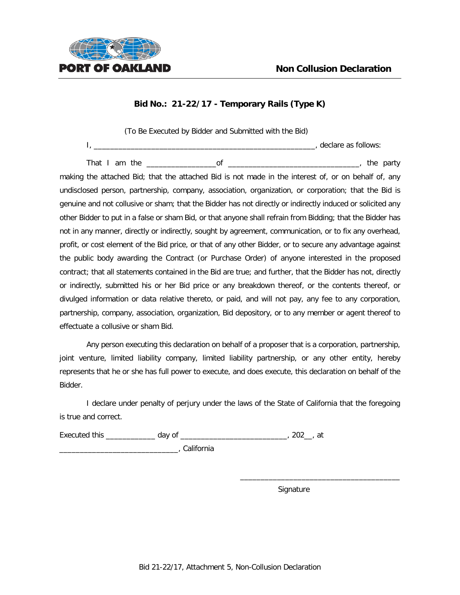

(To Be Executed by Bidder and Submitted with the Bid) I, \_\_\_\_\_\_\_\_\_\_\_\_\_\_\_\_\_\_\_\_\_\_\_\_\_\_\_\_\_\_\_\_\_\_\_\_\_\_\_\_\_\_\_\_\_\_\_\_\_\_\_\_\_\_, declare as follows:

That I am the \_\_\_\_\_\_\_\_\_\_\_\_\_\_\_\_\_of \_\_\_\_\_\_\_\_\_\_\_\_\_\_\_\_\_\_\_\_\_\_\_\_\_\_\_\_\_\_\_\_, the party making the attached Bid; that the attached Bid is not made in the interest of, or on behalf of, any undisclosed person, partnership, company, association, organization, or corporation; that the Bid is genuine and not collusive or sham; that the Bidder has not directly or indirectly induced or solicited any other Bidder to put in a false or sham Bid, or that anyone shall refrain from Bidding; that the Bidder has not in any manner, directly or indirectly, sought by agreement, communication, or to fix any overhead, profit, or cost element of the Bid price, or that of any other Bidder, or to secure any advantage against the public body awarding the Contract (or Purchase Order) of anyone interested in the proposed contract; that all statements contained in the Bid are true; and further, that the Bidder has not, directly or indirectly, submitted his or her Bid price or any breakdown thereof, or the contents thereof, or divulged information or data relative thereto, or paid, and will not pay, any fee to any corporation, partnership, company, association, organization, Bid depository, or to any member or agent thereof to effectuate a collusive or sham Bid.

Any person executing this declaration on behalf of a proposer that is a corporation, partnership, joint venture, limited liability company, limited liability partnership, or any other entity, hereby represents that he or she has full power to execute, and does execute, this declaration on behalf of the Bidder.

I declare under penalty of perjury under the laws of the State of California that the foregoing is true and correct.

Executed this \_\_\_\_\_\_\_\_\_\_\_\_\_\_ day of \_\_\_\_\_\_\_\_\_\_\_\_\_\_\_\_\_\_\_\_\_\_\_\_\_\_\_\_\_\_\_, 202\_\_, at

\_\_\_\_\_\_\_\_\_\_\_\_\_\_\_\_\_\_\_\_\_\_\_\_\_\_\_\_\_, California

Signature

\_\_\_\_\_\_\_\_\_\_\_\_\_\_\_\_\_\_\_\_\_\_\_\_\_\_\_\_\_\_\_\_\_\_\_\_\_\_\_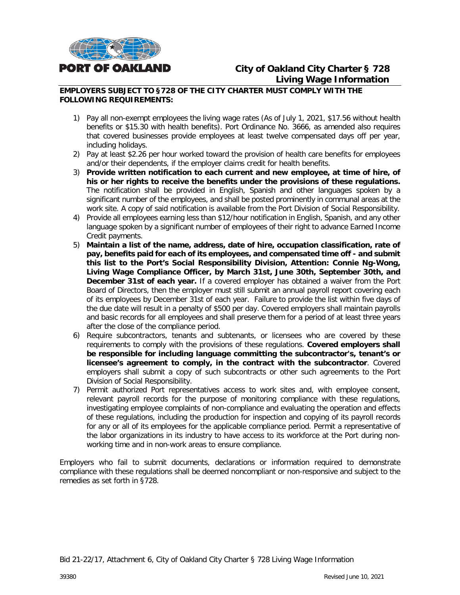

# **City of Oakland City Charter § 728 Living Wage Information**

#### **EMPLOYERS SUBJECT TO §728 OF THE CITY CHARTER MUST COMPLY WITH THE FOLLOWING REQUIREMENTS:**

- 1) Pay all non-exempt employees the living wage rates (As of July 1, 2021, \$17.56 without health benefits or \$15.30 with health benefits). Port Ordinance No. 3666, as amended also requires that covered businesses provide employees at least twelve compensated days off per year, including holidays.
- 2) Pay at least \$2.26 per hour worked toward the provision of health care benefits for employees and/or their dependents, if the employer claims credit for health benefits.
- 3) **Provide written notification to each current and new employee, at time of hire, of his or her rights to receive the benefits under the provisions of these regulations.** The notification shall be provided in English, Spanish and other languages spoken by a significant number of the employees, and shall be posted prominently in communal areas at the work site. A copy of said notification is available from the Port Division of Social Responsibility.
- 4) Provide all employees earning less than \$12/hour notification in English, Spanish, and any other language spoken by a significant number of employees of their right to advance Earned Income Credit payments.
- 5) **Maintain a list of the name, address, date of hire, occupation classification, rate of pay, benefits paid for each of its employees, and compensated time off - and submit this list to the Port's Social Responsibility Division, Attention: Connie Ng-Wong, Living Wage Compliance Officer, by March 31st, June 30th, September 30th, and December 31st of each year.** If a covered employer has obtained a waiver from the Port Board of Directors, then the employer must still submit an annual payroll report covering each of its employees by December 31st of each year. Failure to provide the list within five days of the due date will result in a penalty of \$500 per day. Covered employers shall maintain payrolls and basic records for all employees and shall preserve them for a period of at least three years after the close of the compliance period.
- 6) Require subcontractors, tenants and subtenants, or licensees who are covered by these requirements to comply with the provisions of these regulations. **Covered employers shall be responsible for including language committing the subcontractor's, tenant's or licensee's agreement to comply, in the contract with the subcontractor**. Covered employers shall submit a copy of such subcontracts or other such agreements to the Port Division of Social Responsibility.
- 7) Permit authorized Port representatives access to work sites and, with employee consent, relevant payroll records for the purpose of monitoring compliance with these regulations, investigating employee complaints of non-compliance and evaluating the operation and effects of these regulations, including the production for inspection and copying of its payroll records for any or all of its employees for the applicable compliance period. Permit a representative of the labor organizations in its industry to have access to its workforce at the Port during nonworking time and in non-work areas to ensure compliance.

Employers who fail to submit documents, declarations or information required to demonstrate compliance with these regulations shall be deemed noncompliant or non-responsive and subject to the remedies as set forth in §728.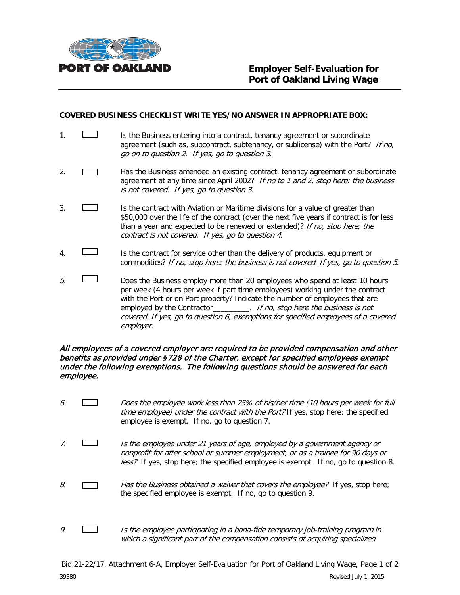

#### **COVERED BUSINESS CHECKLIST WRITE YES/NO ANSWER IN APPROPRIATE BOX:**

- 1. **If the Business entering into a contract, tenancy agreement or subordinate** agreement (such as, subcontract, subtenancy, or sublicense) with the Port? If no, go on to question 2. If yes, go to question 3.
- 2. **Has the Business amended an existing contract, tenancy agreement or subordinate** agreement at any time since April 2002? If no to 1 and 2, stop here: the business is not covered. If yes, go to question 3.
- 3. Is the contract with Aviation or Maritime divisions for a value of greater than \$50,000 over the life of the contract (over the next five years if contract is for less than a year and expected to be renewed or extended)? If no, stop here; the contract is not covered. If yes, go to question 4.
- 4. Is the contract for service other than the delivery of products, equipment or commodities? If no, stop here: the business is not covered. If yes, go to question 5.
- $5.$  Does the Business employ more than 20 employees who spend at least 10 hours per week (4 hours per week if part time employees) working under the contract with the Port or on Port property? Indicate the number of employees that are employed by the Contractor\_\_\_\_\_\_\_\_\_. If no, stop here the business is not covered. If yes, go to question 6, exemptions for specified employees of a covered employer.

#### All employees of a covered employer are required to be provided compensation and other benefits as provided under §728 of the Charter, except for specified employees exempt under the following exemptions. The following questions should be answered for each employee.

- 6. Does the employee work less than 25% of his/her time (10 hours per week for full time employee) under the contract with the Port? If yes, stop here; the specified employee is exempt. If no, go to question 7.
- 7. Is the employee under 21 years of age, employed by a government agency or nonprofit for after school or summer employment, or as a trainee for 90 days or less? If yes, stop here; the specified employee is exempt. If no, go to question 8.
- 8.  $\Box$  Has the Business obtained a waiver that covers the employee? If yes, stop here; the specified employee is exempt. If no, go to question 9.
- 9.  $\Box$  Is the employee participating in a bona-fide temporary job-training program in which a significant part of the compensation consists of acquiring specialized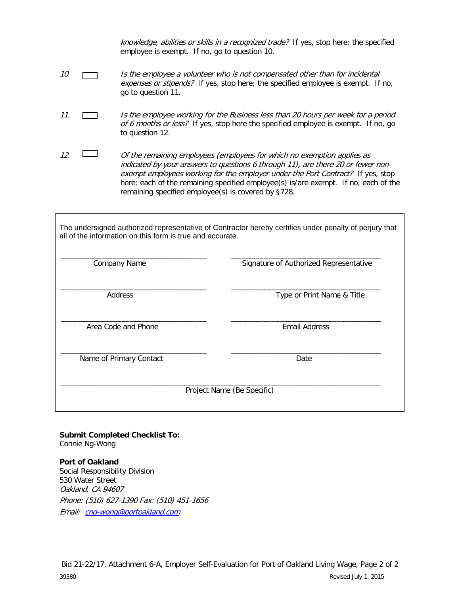knowledge, abilities or skills in a recognized trade? If yes, stop here; the specified employee is exempt. If no, go to question 10.

- 10. Is the employee a volunteer who is not compensated other than for incidental expenses or stipends? If yes, stop here; the specified employee is exempt. If no, go to question 11.
- 11. **In the employee working for the Business less than 20 hours per week for a period** of 6 months or less? If yes, stop here the specified employee is exempt. If no, go to question 12.
- 12.  $\Box$  Of the remaining employees (employees for which no exemption applies as indicated by your answers to questions 6 through 11), are there 20 or fewer nonexempt employees working for the employer under the Port Contract? If yes, stop here; each of the remaining specified employee(s) is/are exempt. If no, each of the remaining specified employee(s) is covered by §728.

The undersigned authorized representative of Contractor hereby certifies under penalty of perjury that all of the information on this form is true and accurate.

| Company Name            | Signature of Authorized Representative |
|-------------------------|----------------------------------------|
| Address                 | Type or Print Name & Title             |
| Area Code and Phone     | <b>Email Address</b>                   |
| Name of Primary Contact | Date                                   |
|                         | Project Name (Be Specific)             |

**Submit Completed Checklist To:** Connie Ng-Wong

**Port of Oakland**  Social Responsibility Division 530 Water Street Oakland, CA 94607 Phone: (510) 627-1390 Fax: (510) 451-1656 Email: [cng-wong@portoakland.com](mailto:cng-wong@portoakland.com)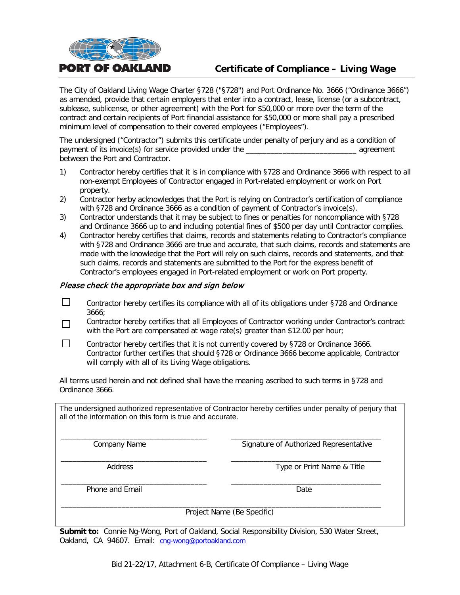

# **Certificate of Compliance – Living Wage**

The City of Oakland Living Wage Charter §728 ("§728") and Port Ordinance No. 3666 ("Ordinance 3666") as amended, provide that certain employers that enter into a contract, lease, license (or a subcontract, sublease, sublicense, or other agreement) with the Port for \$50,000 or more over the term of the contract and certain recipients of Port financial assistance for \$50,000 or more shall pay a prescribed minimum level of compensation to their covered employees ("Employees").

The undersigned ("Contractor") submits this certificate under penalty of perjury and as a condition of payment of its invoice(s) for service provided under the \_\_\_\_\_\_\_\_\_\_\_\_\_\_\_\_\_\_\_\_\_\_\_\_\_\_\_ agreement between the Port and Contractor.

- 1) Contractor hereby certifies that it is in compliance with §728 and Ordinance 3666 with respect to all non-exempt Employees of Contractor engaged in Port-related employment or work on Port property.
- 2) Contractor herby acknowledges that the Port is relying on Contractor's certification of compliance with §728 and Ordinance 3666 as a condition of payment of Contractor's invoice(s).
- 3) Contractor understands that it may be subject to fines or penalties for noncompliance with §728 and Ordinance 3666 up to and including potential fines of \$500 per day until Contractor complies.
- 4) Contractor hereby certifies that claims, records and statements relating to Contractor's compliance with §728 and Ordinance 3666 are true and accurate, that such claims, records and statements are made with the knowledge that the Port will rely on such claims, records and statements, and that such claims, records and statements are submitted to the Port for the express benefit of Contractor's employees engaged in Port-related employment or work on Port property.

#### Please check the appropriate box and sign below

- $\Box$ Contractor hereby certifies its compliance with all of its obligations under §728 and Ordinance 3666;
- Contractor hereby certifies that all Employees of Contractor working under Contractor's contract П with the Port are compensated at wage rate(s) greater than \$12.00 per hour;
- П Contractor hereby certifies that it is not currently covered by §728 or Ordinance 3666. Contractor further certifies that should §728 or Ordinance 3666 become applicable, Contractor will comply with all of its Living Wage obligations.

All terms used herein and not defined shall have the meaning ascribed to such terms in §728 and Ordinance 3666.

The undersigned authorized representative of Contractor hereby certifies under penalty of perjury that all of the information on this form is true and accurate.

\_\_\_\_\_\_\_\_\_\_\_\_\_\_\_\_\_\_\_\_\_\_\_\_\_\_\_\_\_\_\_\_\_\_\_\_ \_\_\_\_\_\_\_\_\_\_\_\_\_\_\_\_\_\_\_\_\_\_\_\_\_\_\_\_\_\_\_\_\_\_\_\_\_ Company Name Signature of Authorized Representative

\_\_\_\_\_\_\_\_\_\_\_\_\_\_\_\_\_\_\_\_\_\_\_\_\_\_\_\_\_\_\_\_\_\_\_\_ \_\_\_\_\_\_\_\_\_\_\_\_\_\_\_\_\_\_\_\_\_\_\_\_\_\_\_\_\_\_\_\_\_\_\_\_\_ Address **Address** Type or Print Name & Title

\_\_\_\_\_\_\_\_\_\_\_\_\_\_\_\_\_\_\_\_\_\_\_\_\_\_\_\_\_\_\_\_\_\_\_\_ \_\_\_\_\_\_\_\_\_\_\_\_\_\_\_\_\_\_\_\_\_\_\_\_\_\_\_\_\_\_\_\_\_\_\_\_\_ Phone and Email Date and Email Date Date Date Date

\_\_\_\_\_\_\_\_\_\_\_\_\_\_\_\_\_\_\_\_\_\_\_\_\_\_\_\_\_\_\_\_\_\_\_\_\_\_\_\_\_\_\_\_\_\_\_\_\_\_\_\_\_\_\_\_\_\_\_\_\_\_\_\_\_\_\_\_\_\_\_\_\_\_\_\_\_\_\_ Project Name (Be Specific)

**Submit to:** Connie Ng-Wong, Port of Oakland, Social Responsibility Division, 530 Water Street, Oakland, CA 94607. Email: [cng-wong@portoakland.com](mailto:cng-wong@portoakland.com)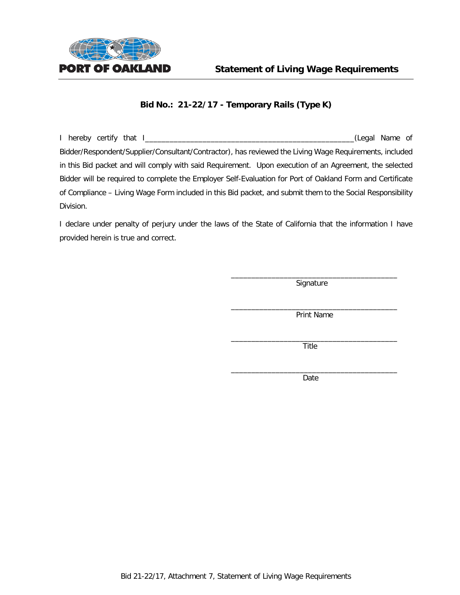

I hereby certify that I\_\_\_\_\_\_\_\_\_\_\_\_\_\_\_\_\_\_\_\_\_\_\_\_\_\_\_\_\_\_\_\_\_\_\_\_\_\_\_\_\_\_\_\_\_\_\_\_\_\_\_(Legal Name of Bidder/Respondent/Supplier/Consultant/Contractor), has reviewed the Living Wage Requirements, included in this Bid packet and will comply with said Requirement. Upon execution of an Agreement, the selected Bidder will be required to complete the Employer Self-Evaluation for Port of Oakland Form and Certificate of Compliance – Living Wage Form included in this Bid packet, and submit them to the Social Responsibility Division.

I declare under penalty of perjury under the laws of the State of California that the information I have provided herein is true and correct.

> \_\_\_\_\_\_\_\_\_\_\_\_\_\_\_\_\_\_\_\_\_\_\_\_\_\_\_\_\_\_\_\_\_\_\_\_\_\_\_\_\_ Signature

> $\overline{\phantom{a}}$  , and the set of the set of the set of the set of the set of the set of the set of the set of the set of the set of the set of the set of the set of the set of the set of the set of the set of the set of the s Print Name

> \_\_\_\_\_\_\_\_\_\_\_\_\_\_\_\_\_\_\_\_\_\_\_\_\_\_\_\_\_\_\_\_\_\_\_\_\_\_\_\_\_ Title

> \_\_\_\_\_\_\_\_\_\_\_\_\_\_\_\_\_\_\_\_\_\_\_\_\_\_\_\_\_\_\_\_\_\_\_\_\_\_\_\_\_ Date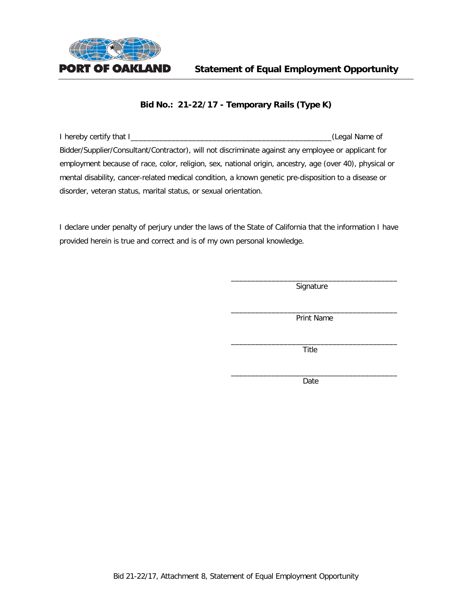

I hereby certify that I\_\_\_\_\_\_\_\_\_\_\_\_\_\_\_\_\_\_\_\_\_\_\_\_\_\_\_\_\_\_\_\_\_\_\_\_\_\_\_\_\_\_\_\_\_\_\_\_\_(Legal Name of Bidder/Supplier/Consultant/Contractor), will not discriminate against any employee or applicant for employment because of race, color, religion, sex, national origin, ancestry, age (over 40), physical or mental disability, cancer-related medical condition, a known genetic pre-disposition to a disease or disorder, veteran status, marital status, or sexual orientation.

I declare under penalty of perjury under the laws of the State of California that the information I have provided herein is true and correct and is of my own personal knowledge.

> \_\_\_\_\_\_\_\_\_\_\_\_\_\_\_\_\_\_\_\_\_\_\_\_\_\_\_\_\_\_\_\_\_\_\_\_\_\_\_\_\_ **Signature**

> \_\_\_\_\_\_\_\_\_\_\_\_\_\_\_\_\_\_\_\_\_\_\_\_\_\_\_\_\_\_\_\_\_\_\_\_\_\_\_\_\_ Print Name

> \_\_\_\_\_\_\_\_\_\_\_\_\_\_\_\_\_\_\_\_\_\_\_\_\_\_\_\_\_\_\_\_\_\_\_\_\_\_\_\_\_ Title

> \_\_\_\_\_\_\_\_\_\_\_\_\_\_\_\_\_\_\_\_\_\_\_\_\_\_\_\_\_\_\_\_\_\_\_\_\_\_\_\_\_ Date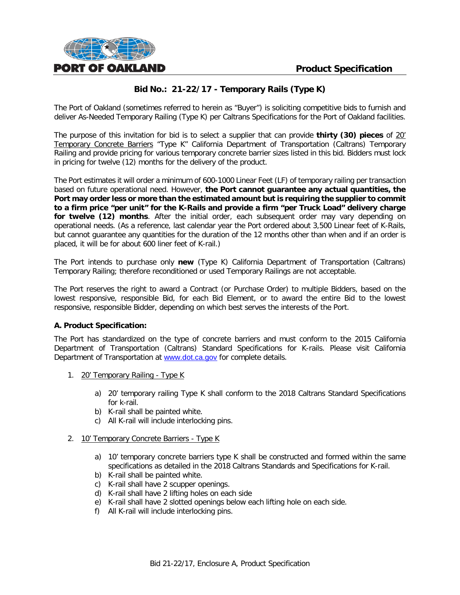

The Port of Oakland (sometimes referred to herein as "Buyer") is soliciting competitive bids to furnish and deliver As-Needed Temporary Railing (Type K) per Caltrans Specifications for the Port of Oakland facilities.

The purpose of this invitation for bid is to select a supplier that can provide **thirty (30) pieces** of 20' Temporary Concrete Barriers "Type K" California Department of Transportation (Caltrans) Temporary Railing and provide pricing for various temporary concrete barrier sizes listed in this bid. Bidders must lock in pricing for twelve (12) months for the delivery of the product.

The Port estimates it will order a minimum of 600-1000 Linear Feet (LF) of temporary railing per transaction based on future operational need. However, **the Port cannot guarantee any actual quantities, the Port may order less or more than the estimated amount but is requiring the supplier to commit to a firm price "per unit" for the K-Rails and provide a firm "per Truck Load" delivery charge for twelve (12) months**. After the initial order, each subsequent order may vary depending on operational needs. (As a reference, last calendar year the Port ordered about 3,500 Linear feet of K-Rails, but cannot guarantee any quantities for the duration of the 12 months other than when and if an order is placed, it will be for about 600 liner feet of K-rail.)

The Port intends to purchase only **new** (Type K) California Department of Transportation (Caltrans) Temporary Railing; therefore reconditioned or used Temporary Railings are not acceptable.

The Port reserves the right to award a Contract (or Purchase Order) to multiple Bidders, based on the lowest responsive, responsible Bid, for each Bid Element, or to award the entire Bid to the lowest responsive, responsible Bidder, depending on which best serves the interests of the Port.

#### **A. Product Specification:**

The Port has standardized on the type of concrete barriers and must conform to the 2015 California Department of Transportation (Caltrans) Standard Specifications for K-rails. Please visit California Department of Transportation at [www.dot.ca.gov](http://www.dot.ca.gov/) for complete details.

- 1. 20' Temporary Railing Type K
	- a) 20' temporary railing Type K shall conform to the 2018 Caltrans Standard Specifications for k-rail.
	- b) K-rail shall be painted white.
	- c) All K-rail will include interlocking pins.

#### 2. 10' Temporary Concrete Barriers - Type K

- a) 10' temporary concrete barriers type K shall be constructed and formed within the same specifications as detailed in the 2018 Caltrans Standards and Specifications for K-rail.
- b) K-rail shall be painted white.
- c) K-rail shall have 2 scupper openings.
- d) K-rail shall have 2 lifting holes on each side
- e) K-rail shall have 2 slotted openings below each lifting hole on each side.
- f) All K-rail will include interlocking pins.